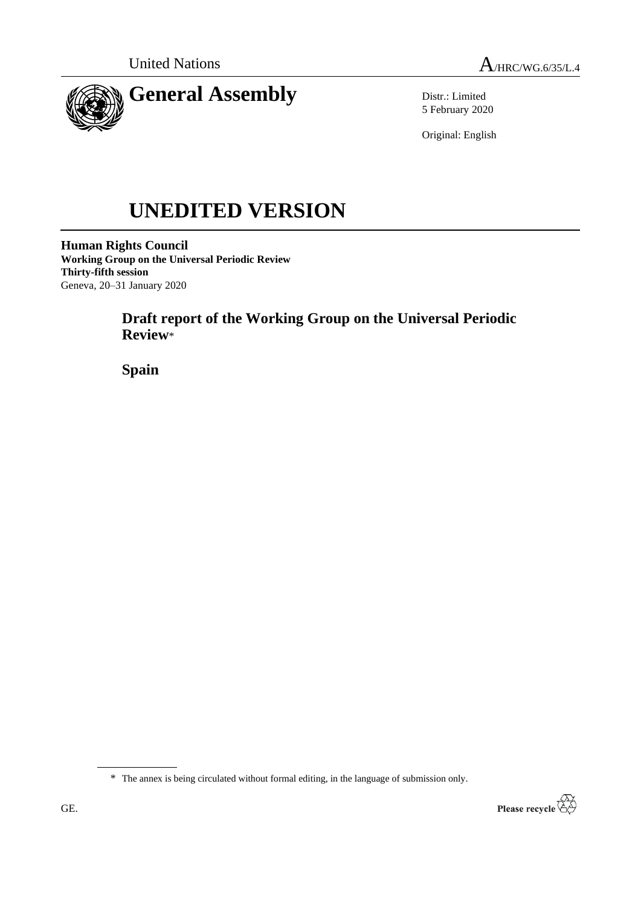



Distr.: Limited 5 February 2020

Original: English

# **UNEDITED VERSION**

**Human Rights Council Working Group on the Universal Periodic Review Thirty-fifth session** Geneva, 20–31 January 2020

# **Draft report of the Working Group on the Universal Periodic Review**\*

**Spain**

\* The annex is being circulated without formal editing, in the language of submission only.

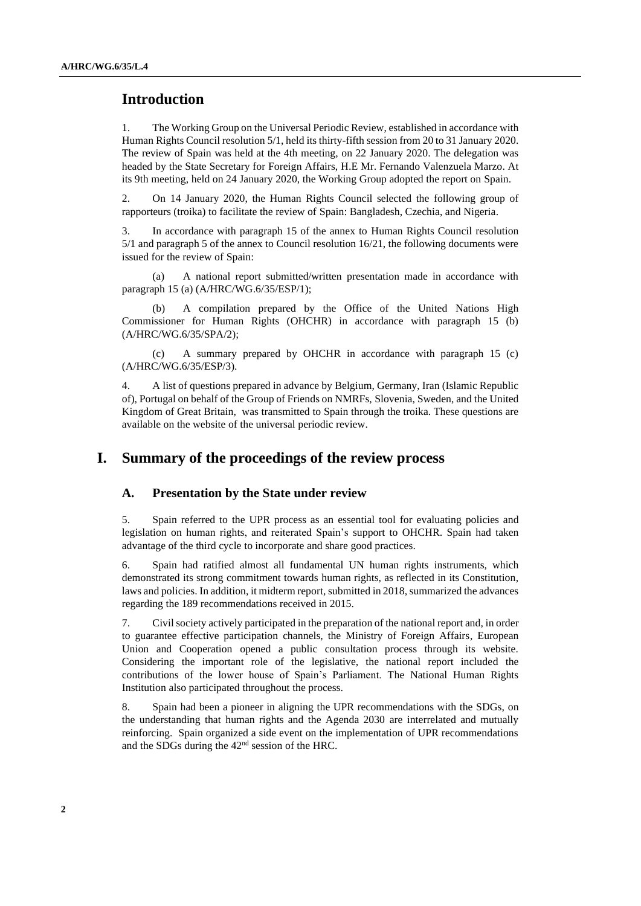## **Introduction**

1. The Working Group on the Universal Periodic Review, established in accordance with Human Rights Council resolution 5/1, held its thirty-fifth session from 20 to 31 January 2020. The review of Spain was held at the 4th meeting, on 22 January 2020. The delegation was headed by the State Secretary for Foreign Affairs, H.E Mr. Fernando Valenzuela Marzo. At its 9th meeting, held on 24 January 2020, the Working Group adopted the report on Spain.

2. On 14 January 2020, the Human Rights Council selected the following group of rapporteurs (troika) to facilitate the review of Spain: Bangladesh, Czechia, and Nigeria.

3. In accordance with paragraph 15 of the annex to Human Rights Council resolution 5/1 and paragraph 5 of the annex to Council resolution 16/21, the following documents were issued for the review of Spain:

(a) A national report submitted/written presentation made in accordance with paragraph 15 (a) (A/HRC/WG.6/35/ESP/1);

(b) A compilation prepared by the Office of the United Nations High Commissioner for Human Rights (OHCHR) in accordance with paragraph 15 (b) (A/HRC/WG.6/35/SPA/2);

(c) A summary prepared by OHCHR in accordance with paragraph 15 (c) (A/HRC/WG.6/35/ESP/3).

4. A list of questions prepared in advance by Belgium, Germany, Iran (Islamic Republic of), Portugal on behalf of the Group of Friends on NMRFs, Slovenia, Sweden, and the United Kingdom of Great Britain, was transmitted to Spain through the troika. These questions are available on the website of the universal periodic review.

# **I. Summary of the proceedings of the review process**

#### **A. Presentation by the State under review**

5. Spain referred to the UPR process as an essential tool for evaluating policies and legislation on human rights, and reiterated Spain's support to OHCHR. Spain had taken advantage of the third cycle to incorporate and share good practices.

6. Spain had ratified almost all fundamental UN human rights instruments, which demonstrated its strong commitment towards human rights, as reflected in its Constitution, laws and policies. In addition, it midterm report, submitted in 2018, summarized the advances regarding the 189 recommendations received in 2015.

7. Civil society actively participated in the preparation of the national report and, in order to guarantee effective participation channels, the Ministry of Foreign Affairs, European Union and Cooperation opened a public consultation process through its website. Considering the important role of the legislative, the national report included the contributions of the lower house of Spain's Parliament. The National Human Rights Institution also participated throughout the process.

8. Spain had been a pioneer in aligning the UPR recommendations with the SDGs, on the understanding that human rights and the Agenda 2030 are interrelated and mutually reinforcing. Spain organized a side event on the implementation of UPR recommendations and the SDGs during the 42<sup>nd</sup> session of the HRC.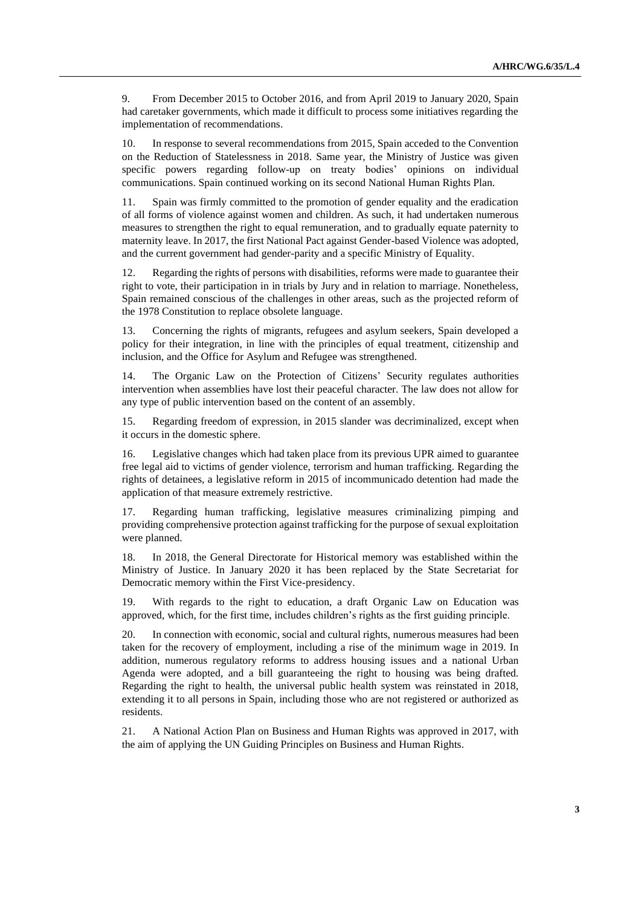9. From December 2015 to October 2016, and from April 2019 to January 2020, Spain had caretaker governments, which made it difficult to process some initiatives regarding the implementation of recommendations.

10. In response to several recommendations from 2015, Spain acceded to the Convention on the Reduction of Statelessness in 2018. Same year, the Ministry of Justice was given specific powers regarding follow-up on treaty bodies' opinions on individual communications. Spain continued working on its second National Human Rights Plan.

11. Spain was firmly committed to the promotion of gender equality and the eradication of all forms of violence against women and children. As such, it had undertaken numerous measures to strengthen the right to equal remuneration, and to gradually equate paternity to maternity leave. In 2017, the first National Pact against Gender-based Violence was adopted, and the current government had gender-parity and a specific Ministry of Equality.

12. Regarding the rights of persons with disabilities, reforms were made to guarantee their right to vote, their participation in in trials by Jury and in relation to marriage. Nonetheless, Spain remained conscious of the challenges in other areas, such as the projected reform of the 1978 Constitution to replace obsolete language.

13. Concerning the rights of migrants, refugees and asylum seekers, Spain developed a policy for their integration, in line with the principles of equal treatment, citizenship and inclusion, and the Office for Asylum and Refugee was strengthened.

14. The Organic Law on the Protection of Citizens' Security regulates authorities intervention when assemblies have lost their peaceful character. The law does not allow for any type of public intervention based on the content of an assembly.

15. Regarding freedom of expression, in 2015 slander was decriminalized, except when it occurs in the domestic sphere.

16. Legislative changes which had taken place from its previous UPR aimed to guarantee free legal aid to victims of gender violence, terrorism and human trafficking. Regarding the rights of detainees, a legislative reform in 2015 of incommunicado detention had made the application of that measure extremely restrictive.

17. Regarding human trafficking, legislative measures criminalizing pimping and providing comprehensive protection against trafficking for the purpose of sexual exploitation were planned.

18. In 2018, the General Directorate for Historical memory was established within the Ministry of Justice. In January 2020 it has been replaced by the State Secretariat for Democratic memory within the First Vice-presidency.

19. With regards to the right to education, a draft Organic Law on Education was approved, which, for the first time, includes children's rights as the first guiding principle.

20. In connection with economic, social and cultural rights, numerous measures had been taken for the recovery of employment, including a rise of the minimum wage in 2019. In addition, numerous regulatory reforms to address housing issues and a national Urban Agenda were adopted, and a bill guaranteeing the right to housing was being drafted. Regarding the right to health, the universal public health system was reinstated in 2018, extending it to all persons in Spain, including those who are not registered or authorized as residents.

21. A National Action Plan on Business and Human Rights was approved in 2017, with the aim of applying the UN Guiding Principles on Business and Human Rights.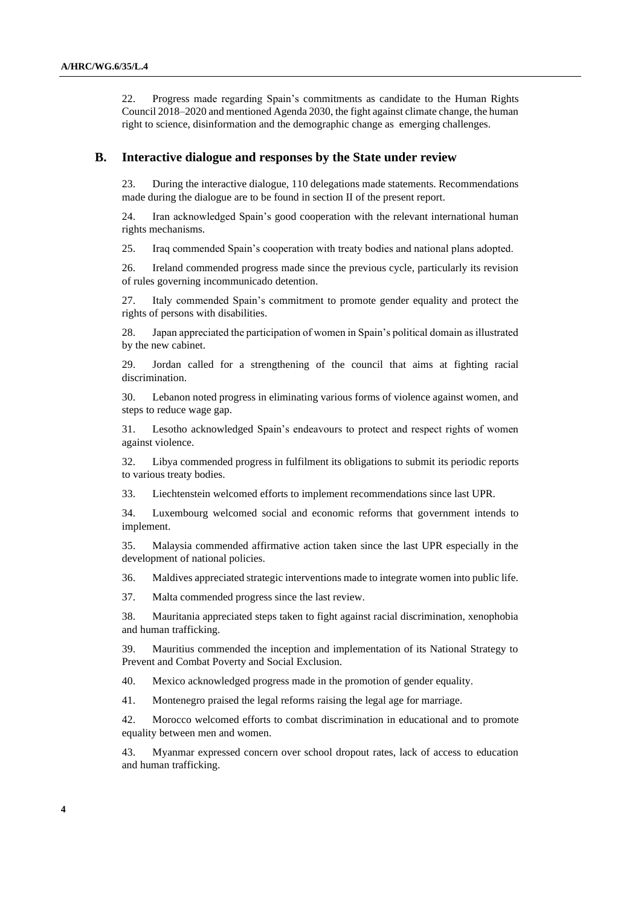22. Progress made regarding Spain's commitments as candidate to the Human Rights Council 2018–2020 and mentioned Agenda 2030, the fight against climate change, the human right to science, disinformation and the demographic change as emerging challenges.

#### **B. Interactive dialogue and responses by the State under review**

23. During the interactive dialogue, 110 delegations made statements. Recommendations made during the dialogue are to be found in section II of the present report.

24. Iran acknowledged Spain's good cooperation with the relevant international human rights mechanisms.

25. Iraq commended Spain's cooperation with treaty bodies and national plans adopted.

26. Ireland commended progress made since the previous cycle, particularly its revision of rules governing incommunicado detention.

27. Italy commended Spain's commitment to promote gender equality and protect the rights of persons with disabilities.

28. Japan appreciated the participation of women in Spain's political domain as illustrated by the new cabinet.

29. Jordan called for a strengthening of the council that aims at fighting racial discrimination.

30. Lebanon noted progress in eliminating various forms of violence against women, and steps to reduce wage gap.

31. Lesotho acknowledged Spain's endeavours to protect and respect rights of women against violence.

32. Libya commended progress in fulfilment its obligations to submit its periodic reports to various treaty bodies.

33. Liechtenstein welcomed efforts to implement recommendations since last UPR.

34. Luxembourg welcomed social and economic reforms that government intends to implement.

35. Malaysia commended affirmative action taken since the last UPR especially in the development of national policies.

36. Maldives appreciated strategic interventions made to integrate women into public life.

37. Malta commended progress since the last review.

38. Mauritania appreciated steps taken to fight against racial discrimination, xenophobia and human trafficking.

39. Mauritius commended the inception and implementation of its National Strategy to Prevent and Combat Poverty and Social Exclusion.

40. Mexico acknowledged progress made in the promotion of gender equality.

41. Montenegro praised the legal reforms raising the legal age for marriage.

42. Morocco welcomed efforts to combat discrimination in educational and to promote equality between men and women.

43. Myanmar expressed concern over school dropout rates, lack of access to education and human trafficking.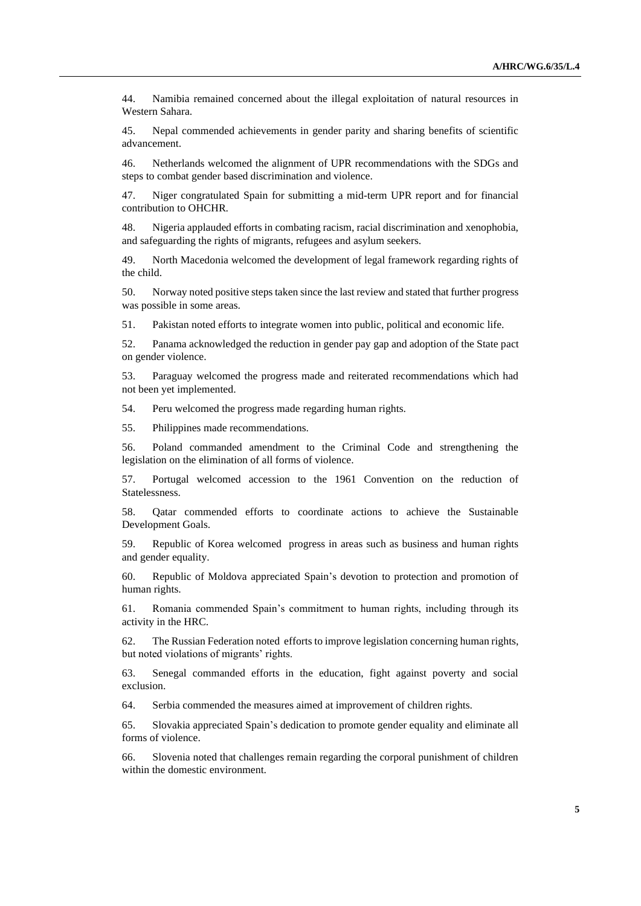44. Namibia remained concerned about the illegal exploitation of natural resources in Western Sahara.

45. Nepal commended achievements in gender parity and sharing benefits of scientific advancement.

46. Netherlands welcomed the alignment of UPR recommendations with the SDGs and steps to combat gender based discrimination and violence.

47. Niger congratulated Spain for submitting a mid-term UPR report and for financial contribution to OHCHR.

48. Nigeria applauded efforts in combating racism, racial discrimination and xenophobia, and safeguarding the rights of migrants, refugees and asylum seekers.

49. North Macedonia welcomed the development of legal framework regarding rights of the child.

50. Norway noted positive steps taken since the last review and stated that further progress was possible in some areas.

51. Pakistan noted efforts to integrate women into public, political and economic life.

52. Panama acknowledged the reduction in gender pay gap and adoption of the State pact on gender violence.

53. Paraguay welcomed the progress made and reiterated recommendations which had not been yet implemented.

54. Peru welcomed the progress made regarding human rights.

55. Philippines made recommendations.

56. Poland commanded amendment to the Criminal Code and strengthening the legislation on the elimination of all forms of violence.

57. Portugal welcomed accession to the 1961 Convention on the reduction of Statelessness.

58. Qatar commended efforts to coordinate actions to achieve the Sustainable Development Goals.

59. Republic of Korea welcomed progress in areas such as business and human rights and gender equality.

60. Republic of Moldova appreciated Spain's devotion to protection and promotion of human rights.

61. Romania commended Spain's commitment to human rights, including through its activity in the HRC.

62. The Russian Federation noted efforts to improve legislation concerning human rights, but noted violations of migrants' rights.

63. Senegal commanded efforts in the education, fight against poverty and social exclusion.

64. Serbia commended the measures aimed at improvement of children rights.

65. Slovakia appreciated Spain's dedication to promote gender equality and eliminate all forms of violence.

66. Slovenia noted that challenges remain regarding the corporal punishment of children within the domestic environment.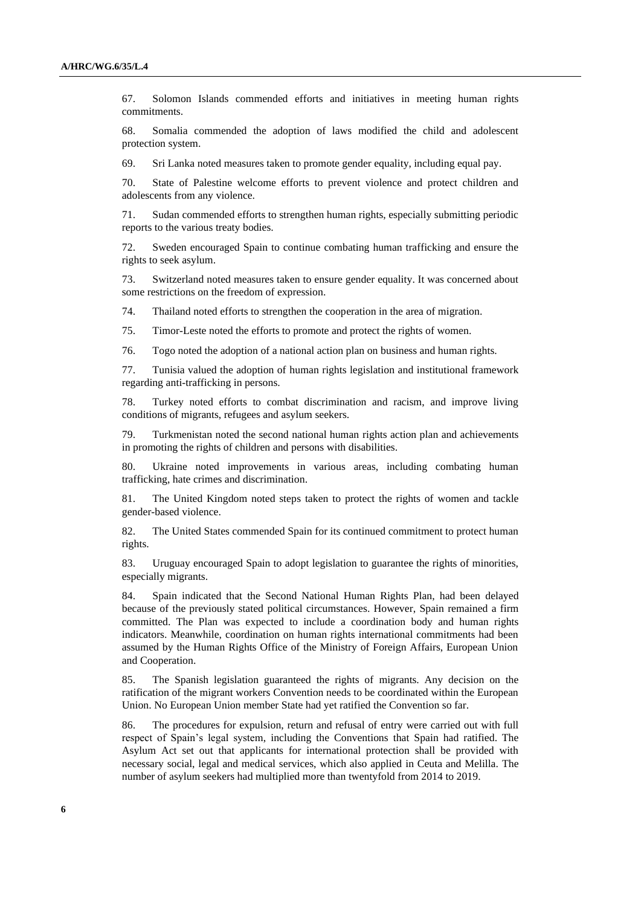67. Solomon Islands commended efforts and initiatives in meeting human rights commitments.

68. Somalia commended the adoption of laws modified the child and adolescent protection system.

69. Sri Lanka noted measures taken to promote gender equality, including equal pay.

70. State of Palestine welcome efforts to prevent violence and protect children and adolescents from any violence.

71. Sudan commended efforts to strengthen human rights, especially submitting periodic reports to the various treaty bodies.

72. Sweden encouraged Spain to continue combating human trafficking and ensure the rights to seek asylum.

73. Switzerland noted measures taken to ensure gender equality. It was concerned about some restrictions on the freedom of expression.

74. Thailand noted efforts to strengthen the cooperation in the area of migration.

75. Timor-Leste noted the efforts to promote and protect the rights of women.

76. Togo noted the adoption of a national action plan on business and human rights.

77. Tunisia valued the adoption of human rights legislation and institutional framework regarding anti-trafficking in persons.

78. Turkey noted efforts to combat discrimination and racism, and improve living conditions of migrants, refugees and asylum seekers.

79. Turkmenistan noted the second national human rights action plan and achievements in promoting the rights of children and persons with disabilities.

80. Ukraine noted improvements in various areas, including combating human trafficking, hate crimes and discrimination.

81. The United Kingdom noted steps taken to protect the rights of women and tackle gender-based violence.

82. The United States commended Spain for its continued commitment to protect human rights.

83. Uruguay encouraged Spain to adopt legislation to guarantee the rights of minorities, especially migrants.

84. Spain indicated that the Second National Human Rights Plan, had been delayed because of the previously stated political circumstances. However, Spain remained a firm committed. The Plan was expected to include a coordination body and human rights indicators. Meanwhile, coordination on human rights international commitments had been assumed by the Human Rights Office of the Ministry of Foreign Affairs, European Union and Cooperation.

85. The Spanish legislation guaranteed the rights of migrants. Any decision on the ratification of the migrant workers Convention needs to be coordinated within the European Union. No European Union member State had yet ratified the Convention so far.

86. The procedures for expulsion, return and refusal of entry were carried out with full respect of Spain's legal system, including the Conventions that Spain had ratified. The Asylum Act set out that applicants for international protection shall be provided with necessary social, legal and medical services, which also applied in Ceuta and Melilla. The number of asylum seekers had multiplied more than twentyfold from 2014 to 2019.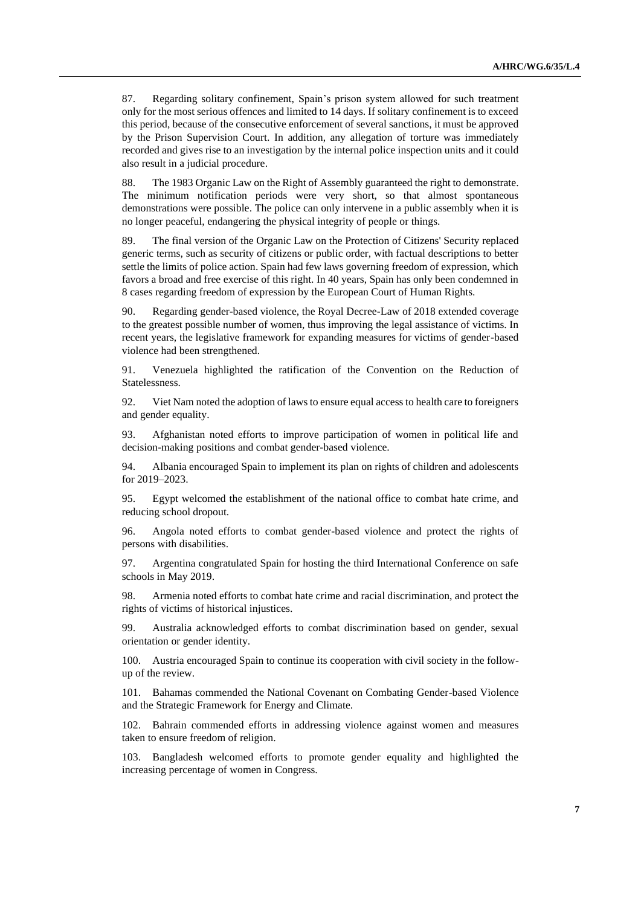87. Regarding solitary confinement, Spain's prison system allowed for such treatment only for the most serious offences and limited to 14 days. If solitary confinement is to exceed this period, because of the consecutive enforcement of several sanctions, it must be approved by the Prison Supervision Court. In addition, any allegation of torture was immediately recorded and gives rise to an investigation by the internal police inspection units and it could also result in a judicial procedure.

88. The 1983 Organic Law on the Right of Assembly guaranteed the right to demonstrate. The minimum notification periods were very short, so that almost spontaneous demonstrations were possible. The police can only intervene in a public assembly when it is no longer peaceful, endangering the physical integrity of people or things.

89. The final version of the Organic Law on the Protection of Citizens' Security replaced generic terms, such as security of citizens or public order, with factual descriptions to better settle the limits of police action. Spain had few laws governing freedom of expression, which favors a broad and free exercise of this right. In 40 years, Spain has only been condemned in 8 cases regarding freedom of expression by the European Court of Human Rights.

90. Regarding gender-based violence, the Royal Decree-Law of 2018 extended coverage to the greatest possible number of women, thus improving the legal assistance of victims. In recent years, the legislative framework for expanding measures for victims of gender-based violence had been strengthened.

91. Venezuela highlighted the ratification of the Convention on the Reduction of Statelessness.

92. Viet Nam noted the adoption of laws to ensure equal access to health care to foreigners and gender equality.

93. Afghanistan noted efforts to improve participation of women in political life and decision-making positions and combat gender-based violence.

94. Albania encouraged Spain to implement its plan on rights of children and adolescents for 2019–2023.

95. Egypt welcomed the establishment of the national office to combat hate crime, and reducing school dropout.

96. Angola noted efforts to combat gender-based violence and protect the rights of persons with disabilities.

97. Argentina congratulated Spain for hosting the third International Conference on safe schools in May 2019.

98. Armenia noted efforts to combat hate crime and racial discrimination, and protect the rights of victims of historical injustices.

99. Australia acknowledged efforts to combat discrimination based on gender, sexual orientation or gender identity.

100. Austria encouraged Spain to continue its cooperation with civil society in the followup of the review.

101. Bahamas commended the National Covenant on Combating Gender-based Violence and the Strategic Framework for Energy and Climate.

102. Bahrain commended efforts in addressing violence against women and measures taken to ensure freedom of religion.

103. Bangladesh welcomed efforts to promote gender equality and highlighted the increasing percentage of women in Congress.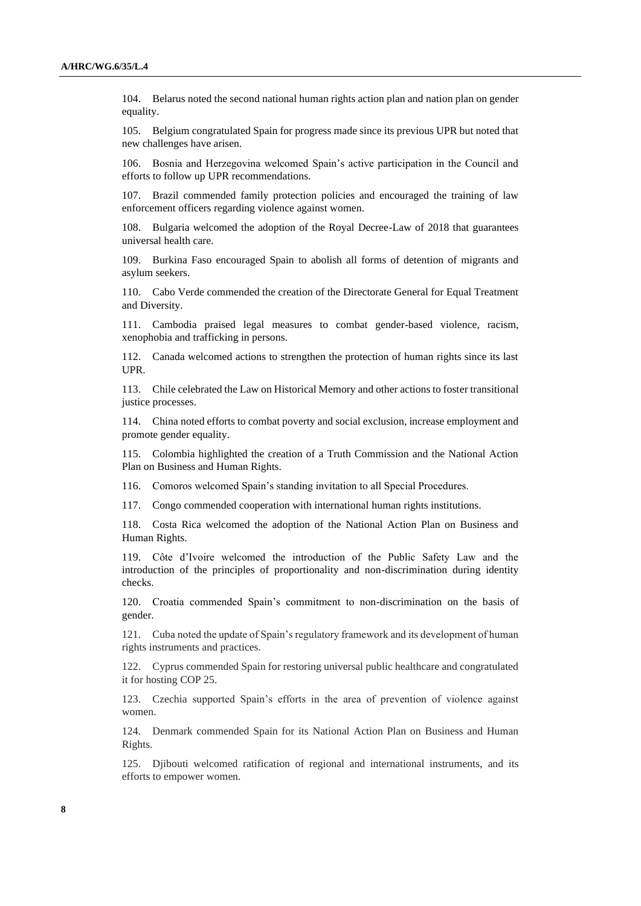104. Belarus noted the second national human rights action plan and nation plan on gender equality.

105. Belgium congratulated Spain for progress made since its previous UPR but noted that new challenges have arisen.

106. Bosnia and Herzegovina welcomed Spain's active participation in the Council and efforts to follow up UPR recommendations.

Brazil commended family protection policies and encouraged the training of law enforcement officers regarding violence against women.

108. Bulgaria welcomed the adoption of the Royal Decree-Law of 2018 that guarantees universal health care.

109. Burkina Faso encouraged Spain to abolish all forms of detention of migrants and asylum seekers.

110. Cabo Verde commended the creation of the Directorate General for Equal Treatment and Diversity.

111. Cambodia praised legal measures to combat gender-based violence, racism, xenophobia and trafficking in persons.

112. Canada welcomed actions to strengthen the protection of human rights since its last UPR.

113. Chile celebrated the Law on Historical Memory and other actions to foster transitional justice processes.

114. China noted efforts to combat poverty and social exclusion, increase employment and promote gender equality.

115. Colombia highlighted the creation of a Truth Commission and the National Action Plan on Business and Human Rights.

116. Comoros welcomed Spain's standing invitation to all Special Procedures.

117. Congo commended cooperation with international human rights institutions.

118. Costa Rica welcomed the adoption of the National Action Plan on Business and Human Rights.

119. Côte d'Ivoire welcomed the introduction of the Public Safety Law and the introduction of the principles of proportionality and non-discrimination during identity checks.

120. Croatia commended Spain's commitment to non-discrimination on the basis of gender.

121. Cuba noted the update of Spain's regulatory framework and its development of human rights instruments and practices.

122. Cyprus commended Spain for restoring universal public healthcare and congratulated it for hosting COP 25.

123. Czechia supported Spain's efforts in the area of prevention of violence against women.

124. Denmark commended Spain for its National Action Plan on Business and Human Rights.

125. Djibouti welcomed ratification of regional and international instruments, and its efforts to empower women.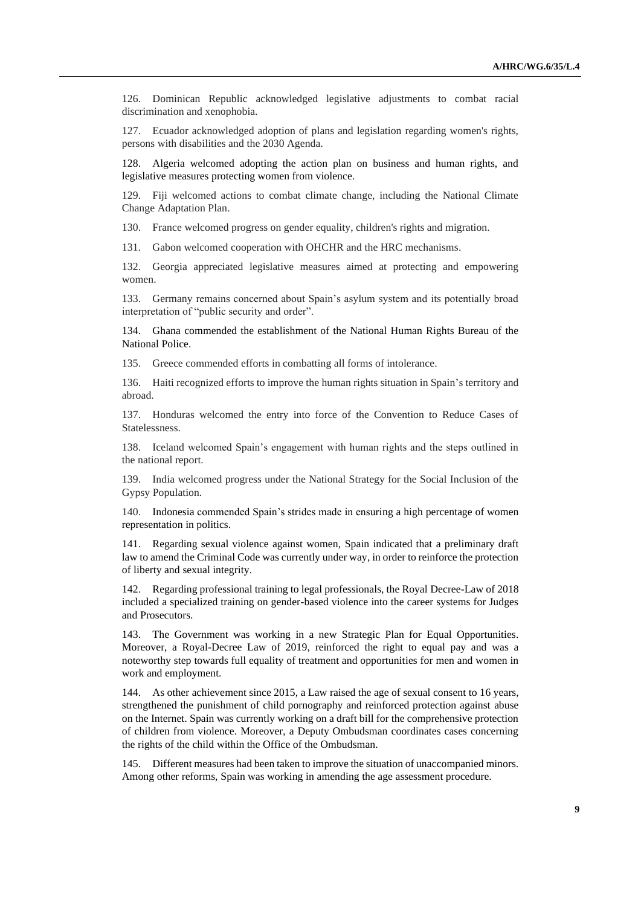126. Dominican Republic acknowledged legislative adjustments to combat racial discrimination and xenophobia.

127. Ecuador acknowledged adoption of plans and legislation regarding women's rights, persons with disabilities and the 2030 Agenda.

128. Algeria welcomed adopting the action plan on business and human rights, and legislative measures protecting women from violence.

129. Fiji welcomed actions to combat climate change, including the National Climate Change Adaptation Plan.

130. France welcomed progress on gender equality, children's rights and migration.

131. Gabon welcomed cooperation with OHCHR and the HRC mechanisms.

132. Georgia appreciated legislative measures aimed at protecting and empowering women.

133. Germany remains concerned about Spain's asylum system and its potentially broad interpretation of "public security and order".

134. Ghana commended the establishment of the National Human Rights Bureau of the National Police.

135. Greece commended efforts in combatting all forms of intolerance.

136. Haiti recognized efforts to improve the human rights situation in Spain's territory and abroad.

137. Honduras welcomed the entry into force of the Convention to Reduce Cases of Statelessness.

138. Iceland welcomed Spain's engagement with human rights and the steps outlined in the national report.

139. India welcomed progress under the National Strategy for the Social Inclusion of the Gypsy Population.

140. Indonesia commended Spain's strides made in ensuring a high percentage of women representation in politics.

141. Regarding sexual violence against women, Spain indicated that a preliminary draft law to amend the Criminal Code was currently under way, in order to reinforce the protection of liberty and sexual integrity.

142. Regarding professional training to legal professionals, the Royal Decree-Law of 2018 included a specialized training on gender-based violence into the career systems for Judges and Prosecutors.

143. The Government was working in a new Strategic Plan for Equal Opportunities. Moreover, a Royal-Decree Law of 2019, reinforced the right to equal pay and was a noteworthy step towards full equality of treatment and opportunities for men and women in work and employment.

144. As other achievement since 2015, a Law raised the age of sexual consent to 16 years, strengthened the punishment of child pornography and reinforced protection against abuse on the Internet. Spain was currently working on a draft bill for the comprehensive protection of children from violence. Moreover, a Deputy Ombudsman coordinates cases concerning the rights of the child within the Office of the Ombudsman.

145. Different measures had been taken to improve the situation of unaccompanied minors. Among other reforms, Spain was working in amending the age assessment procedure.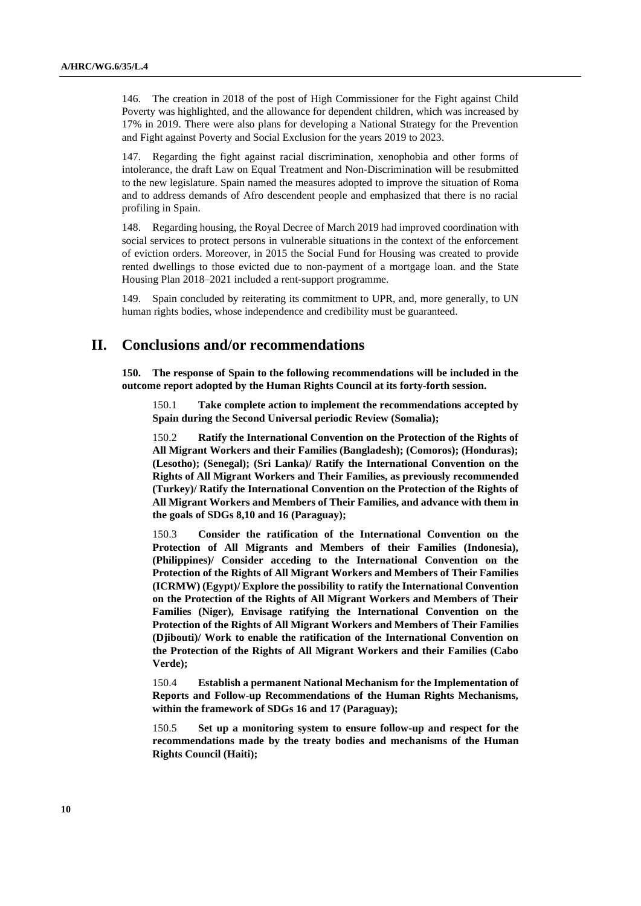146. The creation in 2018 of the post of High Commissioner for the Fight against Child Poverty was highlighted, and the allowance for dependent children, which was increased by 17% in 2019. There were also plans for developing a National Strategy for the Prevention and Fight against Poverty and Social Exclusion for the years 2019 to 2023.

147. Regarding the fight against racial discrimination, xenophobia and other forms of intolerance, the draft Law on Equal Treatment and Non-Discrimination will be resubmitted to the new legislature. Spain named the measures adopted to improve the situation of Roma and to address demands of Afro descendent people and emphasized that there is no racial profiling in Spain.

148. Regarding housing, the Royal Decree of March 2019 had improved coordination with social services to protect persons in vulnerable situations in the context of the enforcement of eviction orders. Moreover, in 2015 the Social Fund for Housing was created to provide rented dwellings to those evicted due to non-payment of a mortgage loan. and the State Housing Plan 2018–2021 included a rent-support programme.

149. Spain concluded by reiterating its commitment to UPR, and, more generally, to UN human rights bodies, whose independence and credibility must be guaranteed.

## **II. Conclusions and/or recommendations**

**150. The response of Spain to the following recommendations will be included in the outcome report adopted by the Human Rights Council at its forty-forth session.**

150.1 **Take complete action to implement the recommendations accepted by Spain during the Second Universal periodic Review (Somalia);**

150.2 **Ratify the International Convention on the Protection of the Rights of All Migrant Workers and their Families (Bangladesh); (Comoros); (Honduras); (Lesotho); (Senegal); (Sri Lanka)/ Ratify the International Convention on the Rights of All Migrant Workers and Their Families, as previously recommended (Turkey)/ Ratify the International Convention on the Protection of the Rights of All Migrant Workers and Members of Their Families, and advance with them in the goals of SDGs 8,10 and 16 (Paraguay);**

150.3 **Consider the ratification of the International Convention on the Protection of All Migrants and Members of their Families (Indonesia), (Philippines)/ Consider acceding to the International Convention on the Protection of the Rights of All Migrant Workers and Members of Their Families (ICRMW) (Egypt)/ Explore the possibility to ratify the International Convention on the Protection of the Rights of All Migrant Workers and Members of Their Families (Niger), Envisage ratifying the International Convention on the Protection of the Rights of All Migrant Workers and Members of Their Families (Djibouti)/ Work to enable the ratification of the International Convention on the Protection of the Rights of All Migrant Workers and their Families (Cabo Verde);**

150.4 **Establish a permanent National Mechanism for the Implementation of Reports and Follow-up Recommendations of the Human Rights Mechanisms, within the framework of SDGs 16 and 17 (Paraguay);**

150.5 **Set up a monitoring system to ensure follow-up and respect for the recommendations made by the treaty bodies and mechanisms of the Human Rights Council (Haiti);**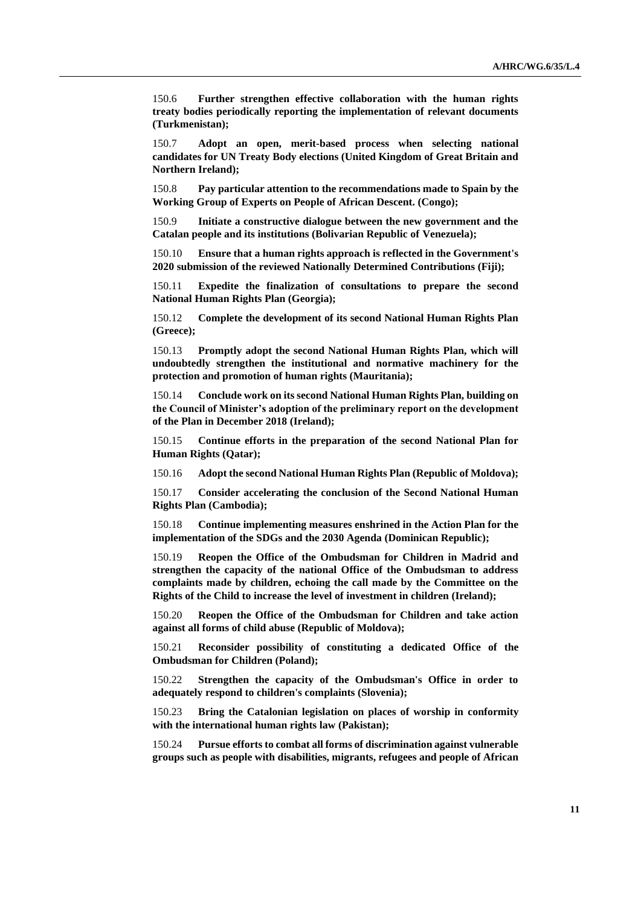150.6 **Further strengthen effective collaboration with the human rights treaty bodies periodically reporting the implementation of relevant documents (Turkmenistan);**

150.7 **Adopt an open, merit-based process when selecting national candidates for UN Treaty Body elections (United Kingdom of Great Britain and Northern Ireland);**

150.8 **Pay particular attention to the recommendations made to Spain by the Working Group of Experts on People of African Descent. (Congo);**

150.9 **Initiate a constructive dialogue between the new government and the Catalan people and its institutions (Bolivarian Republic of Venezuela);**

150.10 **Ensure that a human rights approach is reflected in the Government's 2020 submission of the reviewed Nationally Determined Contributions (Fiji);**

150.11 **Expedite the finalization of consultations to prepare the second National Human Rights Plan (Georgia);**

150.12 **Complete the development of its second National Human Rights Plan (Greece);**

150.13 **Promptly adopt the second National Human Rights Plan, which will undoubtedly strengthen the institutional and normative machinery for the protection and promotion of human rights (Mauritania);**

150.14 **Conclude work on its second National Human Rights Plan, building on the Council of Minister's adoption of the preliminary report on the development of the Plan in December 2018 (Ireland);**

150.15 **Continue efforts in the preparation of the second National Plan for Human Rights (Qatar);** 

150.16 **Adopt the second National Human Rights Plan (Republic of Moldova);**

150.17 **Consider accelerating the conclusion of the Second National Human Rights Plan (Cambodia);**

150.18 **Continue implementing measures enshrined in the Action Plan for the implementation of the SDGs and the 2030 Agenda (Dominican Republic);**

150.19 **Reopen the Office of the Ombudsman for Children in Madrid and strengthen the capacity of the national Office of the Ombudsman to address complaints made by children, echoing the call made by the Committee on the Rights of the Child to increase the level of investment in children (Ireland);**

150.20 **Reopen the Office of the Ombudsman for Children and take action against all forms of child abuse (Republic of Moldova);**

150.21 **Reconsider possibility of constituting a dedicated Office of the Ombudsman for Children (Poland);**

150.22 **Strengthen the capacity of the Ombudsman's Office in order to adequately respond to children's complaints (Slovenia);**

150.23 **Bring the Catalonian legislation on places of worship in conformity with the international human rights law (Pakistan);**

150.24 **Pursue efforts to combat all forms of discrimination against vulnerable groups such as people with disabilities, migrants, refugees and people of African**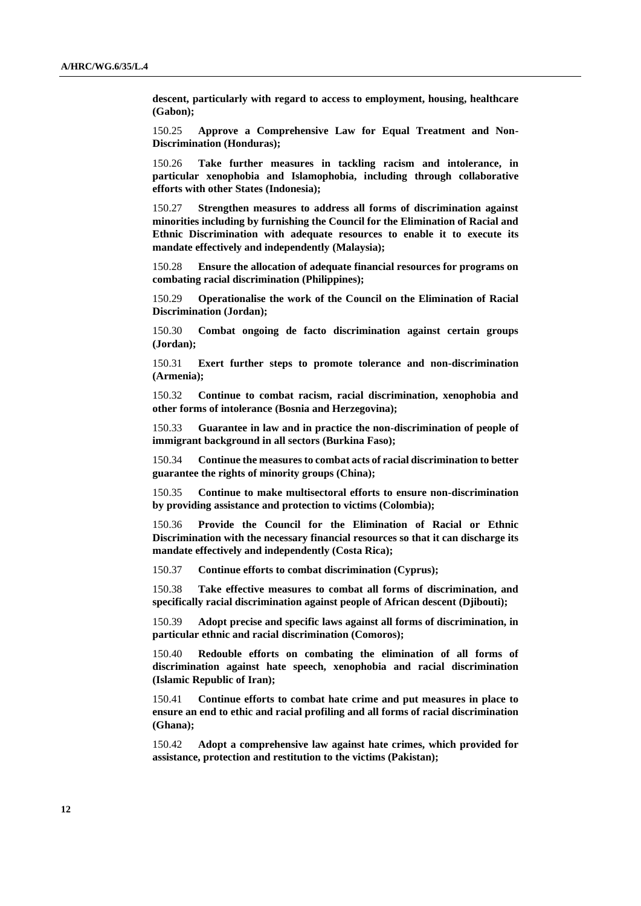**descent, particularly with regard to access to employment, housing, healthcare (Gabon);**

150.25 **Approve a Comprehensive Law for Equal Treatment and Non-Discrimination (Honduras);**

150.26 **Take further measures in tackling racism and intolerance, in particular xenophobia and Islamophobia, including through collaborative efforts with other States (Indonesia);**

150.27 **Strengthen measures to address all forms of discrimination against minorities including by furnishing the Council for the Elimination of Racial and Ethnic Discrimination with adequate resources to enable it to execute its mandate effectively and independently (Malaysia);**

150.28 **Ensure the allocation of adequate financial resources for programs on combating racial discrimination (Philippines);**

150.29 **Operationalise the work of the Council on the Elimination of Racial Discrimination (Jordan);**

150.30 **Combat ongoing de facto discrimination against certain groups (Jordan);**

150.31 **Exert further steps to promote tolerance and non-discrimination (Armenia);**

150.32 **Continue to combat racism, racial discrimination, xenophobia and other forms of intolerance (Bosnia and Herzegovina);**

150.33 **Guarantee in law and in practice the non-discrimination of people of immigrant background in all sectors (Burkina Faso);**

150.34 **Continue the measures to combat acts of racial discrimination to better guarantee the rights of minority groups (China);**

150.35 **Continue to make multisectoral efforts to ensure non-discrimination by providing assistance and protection to victims (Colombia);**

150.36 **Provide the Council for the Elimination of Racial or Ethnic Discrimination with the necessary financial resources so that it can discharge its mandate effectively and independently (Costa Rica);**

150.37 **Continue efforts to combat discrimination (Cyprus);**

150.38 **Take effective measures to combat all forms of discrimination, and specifically racial discrimination against people of African descent (Djibouti);**

150.39 **Adopt precise and specific laws against all forms of discrimination, in particular ethnic and racial discrimination (Comoros);**

150.40 **Redouble efforts on combating the elimination of all forms of discrimination against hate speech, xenophobia and racial discrimination (Islamic Republic of Iran);**

150.41 **Continue efforts to combat hate crime and put measures in place to ensure an end to ethic and racial profiling and all forms of racial discrimination (Ghana);**

150.42 **Adopt a comprehensive law against hate crimes, which provided for assistance, protection and restitution to the victims (Pakistan);**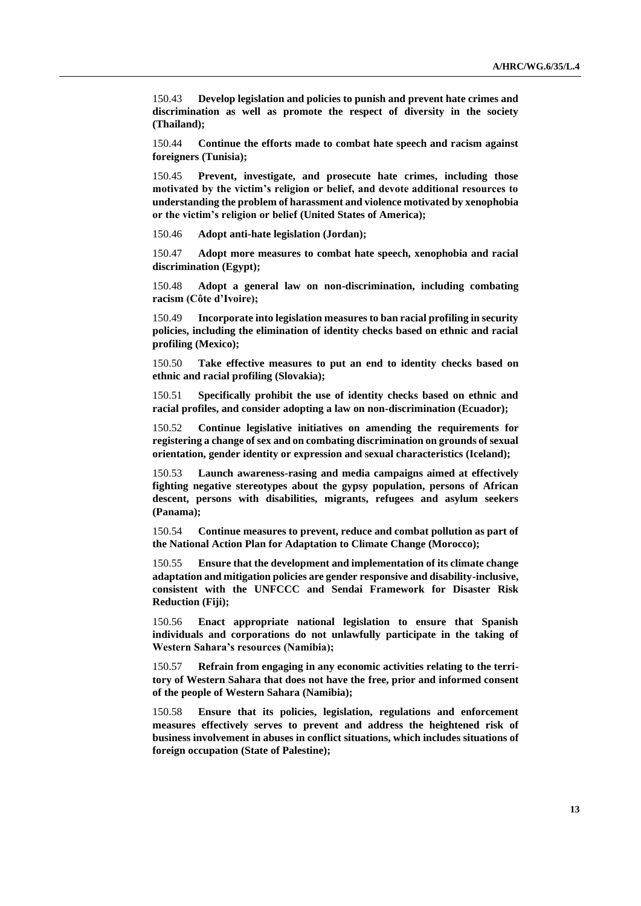150.43 **Develop legislation and policies to punish and prevent hate crimes and discrimination as well as promote the respect of diversity in the society (Thailand);**

150.44 **Continue the efforts made to combat hate speech and racism against foreigners (Tunisia);**

150.45 **Prevent, investigate, and prosecute hate crimes, including those motivated by the victim's religion or belief, and devote additional resources to understanding the problem of harassment and violence motivated by xenophobia or the victim's religion or belief (United States of America);**

150.46 **Adopt anti-hate legislation (Jordan);**

150.47 **Adopt more measures to combat hate speech, xenophobia and racial discrimination (Egypt);**

150.48 **Adopt a general law on non-discrimination, including combating racism (Côte d'Ivoire);**

150.49 **Incorporate into legislation measures to ban racial profiling in security policies, including the elimination of identity checks based on ethnic and racial profiling (Mexico);**

150.50 **Take effective measures to put an end to identity checks based on ethnic and racial profiling (Slovakia);**

150.51 **Specifically prohibit the use of identity checks based on ethnic and racial profiles, and consider adopting a law on non-discrimination (Ecuador);**

150.52 **Continue legislative initiatives on amending the requirements for registering a change of sex and on combating discrimination on grounds of sexual orientation, gender identity or expression and sexual characteristics (Iceland);**

150.53 **Launch awareness-rasing and media campaigns aimed at effectively fighting negative stereotypes about the gypsy population, persons of African descent, persons with disabilities, migrants, refugees and asylum seekers (Panama);**

150.54 **Continue measures to prevent, reduce and combat pollution as part of the National Action Plan for Adaptation to Climate Change (Morocco);**

150.55 **Ensure that the development and implementation of its climate change adaptation and mitigation policies are gender responsive and disability-inclusive, consistent with the UNFCCC and Sendai Framework for Disaster Risk Reduction (Fiji);**

150.56 **Enact appropriate national legislation to ensure that Spanish individuals and corporations do not unlawfully participate in the taking of Western Sahara's resources (Namibia);**

150.57 **Refrain from engaging in any economic activities relating to the territory of Western Sahara that does not have the free, prior and informed consent of the people of Western Sahara (Namibia);**

150.58 **Ensure that its policies, legislation, regulations and enforcement measures effectively serves to prevent and address the heightened risk of business involvement in abuses in conflict situations, which includes situations of foreign occupation (State of Palestine);**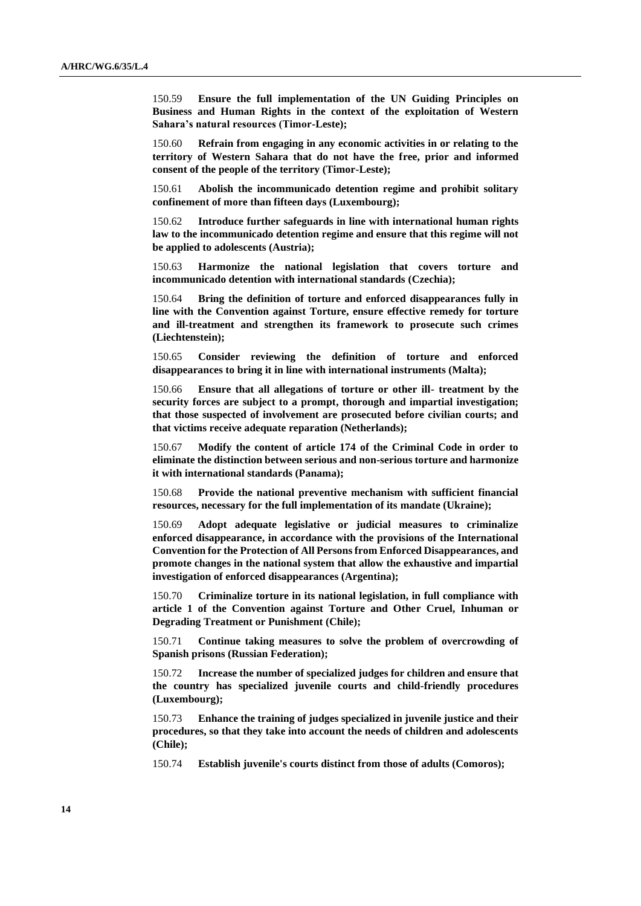150.59 **Ensure the full implementation of the UN Guiding Principles on Business and Human Rights in the context of the exploitation of Western Sahara's natural resources (Timor-Leste);**

150.60 **Refrain from engaging in any economic activities in or relating to the territory of Western Sahara that do not have the free, prior and informed consent of the people of the territory (Timor-Leste);**

150.61 **Abolish the incommunicado detention regime and prohibit solitary confinement of more than fifteen days (Luxembourg);**

150.62 **Introduce further safeguards in line with international human rights law to the incommunicado detention regime and ensure that this regime will not be applied to adolescents (Austria);**

150.63 **Harmonize the national legislation that covers torture and incommunicado detention with international standards (Czechia);**

150.64 **Bring the definition of torture and enforced disappearances fully in line with the Convention against Torture, ensure effective remedy for torture and ill-treatment and strengthen its framework to prosecute such crimes (Liechtenstein);**

150.65 **Consider reviewing the definition of torture and enforced disappearances to bring it in line with international instruments (Malta);**

150.66 **Ensure that all allegations of torture or other ill- treatment by the security forces are subject to a prompt, thorough and impartial investigation; that those suspected of involvement are prosecuted before civilian courts; and that victims receive adequate reparation (Netherlands);**

150.67 **Modify the content of article 174 of the Criminal Code in order to eliminate the distinction between serious and non-serious torture and harmonize it with international standards (Panama);**

150.68 **Provide the national preventive mechanism with sufficient financial resources, necessary for the full implementation of its mandate (Ukraine);**

150.69 **Adopt adequate legislative or judicial measures to criminalize enforced disappearance, in accordance with the provisions of the International Convention for the Protection of All Persons from Enforced Disappearances, and promote changes in the national system that allow the exhaustive and impartial investigation of enforced disappearances (Argentina);**

150.70 **Criminalize torture in its national legislation, in full compliance with article 1 of the Convention against Torture and Other Cruel, Inhuman or Degrading Treatment or Punishment (Chile);**

150.71 **Continue taking measures to solve the problem of overcrowding of Spanish prisons (Russian Federation);**

150.72 **Increase the number of specialized judges for children and ensure that the country has specialized juvenile courts and child-friendly procedures (Luxembourg);**

150.73 **Enhance the training of judges specialized in juvenile justice and their procedures, so that they take into account the needs of children and adolescents (Chile);**

150.74 **Establish juvenile's courts distinct from those of adults (Comoros);**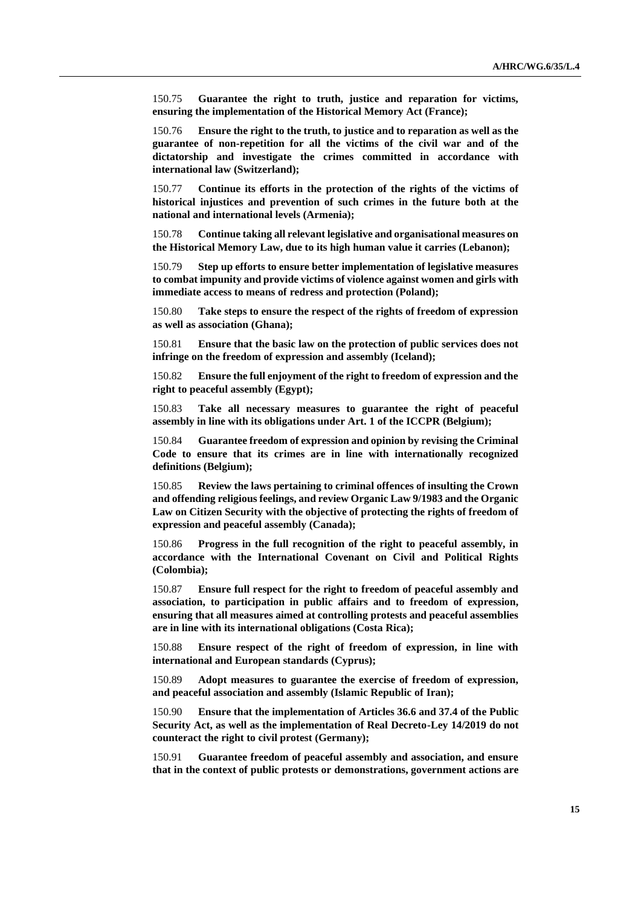150.75 **Guarantee the right to truth, justice and reparation for victims, ensuring the implementation of the Historical Memory Act (France);**

150.76 **Ensure the right to the truth, to justice and to reparation as well as the guarantee of non-repetition for all the victims of the civil war and of the dictatorship and investigate the crimes committed in accordance with international law (Switzerland);**

150.77 **Continue its efforts in the protection of the rights of the victims of historical injustices and prevention of such crimes in the future both at the national and international levels (Armenia);**

150.78 **Continue taking all relevant legislative and organisational measures on the Historical Memory Law, due to its high human value it carries (Lebanon);**

150.79 **Step up efforts to ensure better implementation of legislative measures to combat impunity and provide victims of violence against women and girls with immediate access to means of redress and protection (Poland);**

150.80 **Take steps to ensure the respect of the rights of freedom of expression as well as association (Ghana);**

150.81 **Ensure that the basic law on the protection of public services does not infringe on the freedom of expression and assembly (Iceland);**

150.82 **Ensure the full enjoyment of the right to freedom of expression and the right to peaceful assembly (Egypt);**

150.83 **Take all necessary measures to guarantee the right of peaceful assembly in line with its obligations under Art. 1 of the ICCPR (Belgium);**

150.84 **Guarantee freedom of expression and opinion by revising the Criminal Code to ensure that its crimes are in line with internationally recognized definitions (Belgium);**

150.85 **Review the laws pertaining to criminal offences of insulting the Crown and offending religious feelings, and review Organic Law 9/1983 and the Organic Law on Citizen Security with the objective of protecting the rights of freedom of expression and peaceful assembly (Canada);**

150.86 **Progress in the full recognition of the right to peaceful assembly, in accordance with the International Covenant on Civil and Political Rights (Colombia);**

150.87 **Ensure full respect for the right to freedom of peaceful assembly and association, to participation in public affairs and to freedom of expression, ensuring that all measures aimed at controlling protests and peaceful assemblies are in line with its international obligations (Costa Rica);**

150.88 **Ensure respect of the right of freedom of expression, in line with international and European standards (Cyprus);**

150.89 **Adopt measures to guarantee the exercise of freedom of expression, and peaceful association and assembly (Islamic Republic of Iran);**

150.90 **Ensure that the implementation of Articles 36.6 and 37.4 of the Public Security Act, as well as the implementation of Real Decreto-Ley 14/2019 do not counteract the right to civil protest (Germany);**

150.91 **Guarantee freedom of peaceful assembly and association, and ensure that in the context of public protests or demonstrations, government actions are**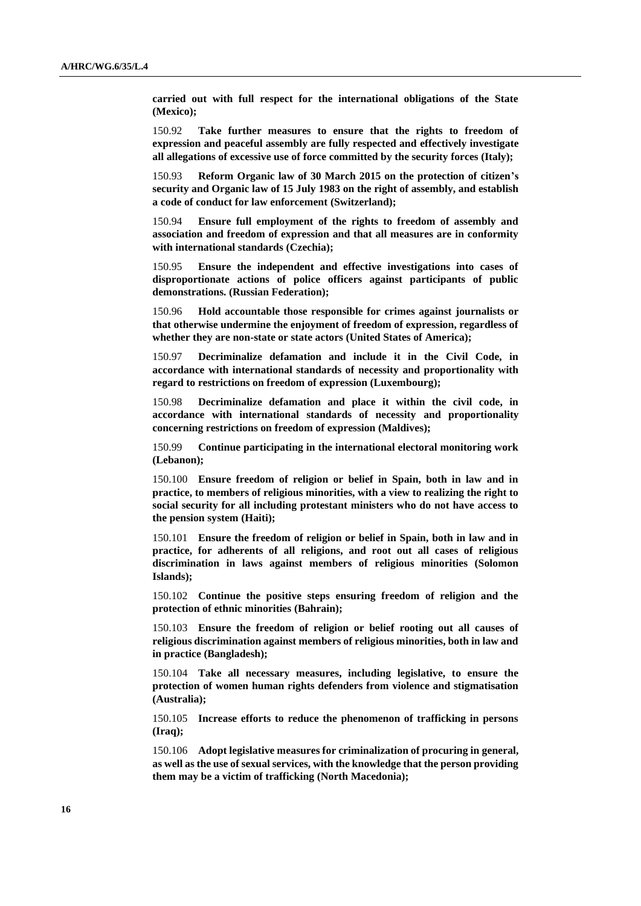**carried out with full respect for the international obligations of the State (Mexico);**

150.92 **Take further measures to ensure that the rights to freedom of expression and peaceful assembly are fully respected and effectively investigate all allegations of excessive use of force committed by the security forces (Italy);**

150.93 **Reform Organic law of 30 March 2015 on the protection of citizen's security and Organic law of 15 July 1983 on the right of assembly, and establish a code of conduct for law enforcement (Switzerland);**

150.94 **Ensure full employment of the rights to freedom of assembly and association and freedom of expression and that all measures are in conformity with international standards (Czechia);**

150.95 **Ensure the independent and effective investigations into cases of disproportionate actions of police officers against participants of public demonstrations. (Russian Federation);**

150.96 **Hold accountable those responsible for crimes against journalists or that otherwise undermine the enjoyment of freedom of expression, regardless of whether they are non-state or state actors (United States of America);**

150.97 **Decriminalize defamation and include it in the Civil Code, in accordance with international standards of necessity and proportionality with regard to restrictions on freedom of expression (Luxembourg);**

150.98 **Decriminalize defamation and place it within the civil code, in accordance with international standards of necessity and proportionality concerning restrictions on freedom of expression (Maldives);**

150.99 **Continue participating in the international electoral monitoring work (Lebanon);**

150.100 **Ensure freedom of religion or belief in Spain, both in law and in practice, to members of religious minorities, with a view to realizing the right to social security for all including protestant ministers who do not have access to the pension system (Haiti);**

150.101 **Ensure the freedom of religion or belief in Spain, both in law and in practice, for adherents of all religions, and root out all cases of religious discrimination in laws against members of religious minorities (Solomon Islands);**

150.102 **Continue the positive steps ensuring freedom of religion and the protection of ethnic minorities (Bahrain);**

150.103 **Ensure the freedom of religion or belief rooting out all causes of religious discrimination against members of religious minorities, both in law and in practice (Bangladesh);**

150.104 **Take all necessary measures, including legislative, to ensure the protection of women human rights defenders from violence and stigmatisation (Australia);**

150.105 **Increase efforts to reduce the phenomenon of trafficking in persons (Iraq);**

150.106 **Adopt legislative measures for criminalization of procuring in general, as well as the use of sexual services, with the knowledge that the person providing them may be a victim of trafficking (North Macedonia);**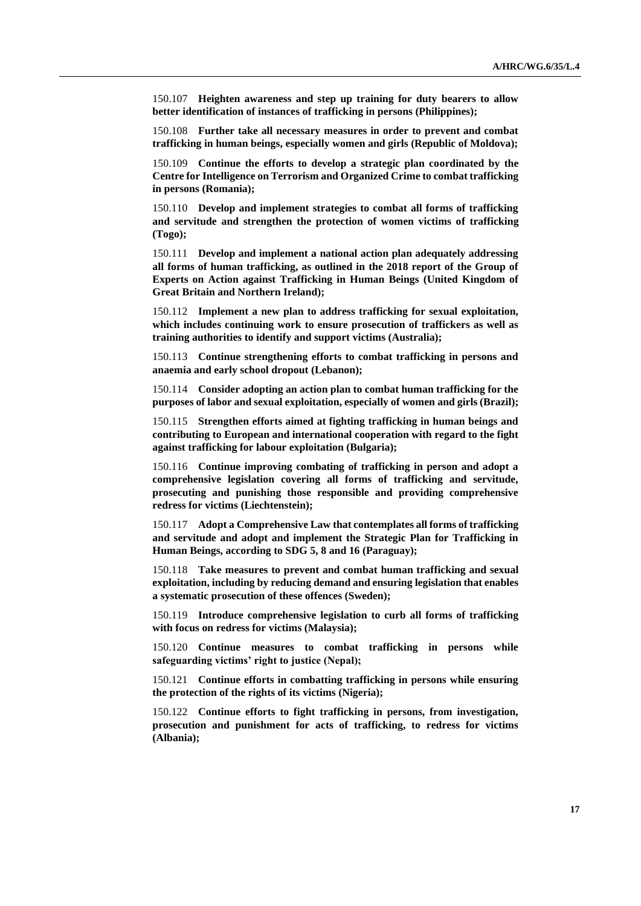150.107 **Heighten awareness and step up training for duty bearers to allow better identification of instances of trafficking in persons (Philippines);**

150.108 **Further take all necessary measures in order to prevent and combat trafficking in human beings, especially women and girls (Republic of Moldova);**

150.109 **Continue the efforts to develop a strategic plan coordinated by the Centre for Intelligence on Terrorism and Organized Crime to combat trafficking in persons (Romania);**

150.110 **Develop and implement strategies to combat all forms of trafficking and servitude and strengthen the protection of women victims of trafficking (Togo);**

150.111 **Develop and implement a national action plan adequately addressing all forms of human trafficking, as outlined in the 2018 report of the Group of Experts on Action against Trafficking in Human Beings (United Kingdom of Great Britain and Northern Ireland);**

150.112 **Implement a new plan to address trafficking for sexual exploitation, which includes continuing work to ensure prosecution of traffickers as well as training authorities to identify and support victims (Australia);**

150.113 **Continue strengthening efforts to combat trafficking in persons and anaemia and early school dropout (Lebanon);**

150.114 **Consider adopting an action plan to combat human trafficking for the purposes of labor and sexual exploitation, especially of women and girls (Brazil);**

150.115 **Strengthen efforts aimed at fighting trafficking in human beings and contributing to European and international cooperation with regard to the fight against trafficking for labour exploitation (Bulgaria);**

150.116 **Continue improving combating of trafficking in person and adopt a comprehensive legislation covering all forms of trafficking and servitude, prosecuting and punishing those responsible and providing comprehensive redress for victims (Liechtenstein);**

150.117 **Adopt a Comprehensive Law that contemplates all forms of trafficking and servitude and adopt and implement the Strategic Plan for Trafficking in Human Beings, according to SDG 5, 8 and 16 (Paraguay);**

150.118 **Take measures to prevent and combat human trafficking and sexual exploitation, including by reducing demand and ensuring legislation that enables a systematic prosecution of these offences (Sweden);**

150.119 **Introduce comprehensive legislation to curb all forms of trafficking with focus on redress for victims (Malaysia);**

150.120 **Continue measures to combat trafficking in persons while safeguarding victims' right to justice (Nepal);**

150.121 **Continue efforts in combatting trafficking in persons while ensuring the protection of the rights of its victims (Nigeria);**

150.122 **Continue efforts to fight trafficking in persons, from investigation, prosecution and punishment for acts of trafficking, to redress for victims (Albania);**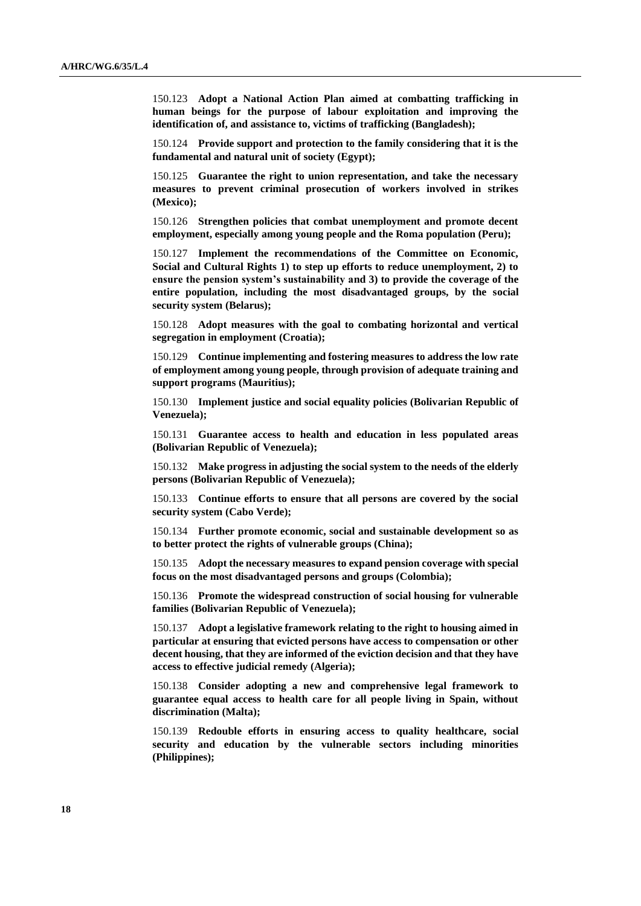150.123 **Adopt a National Action Plan aimed at combatting trafficking in human beings for the purpose of labour exploitation and improving the identification of, and assistance to, victims of trafficking (Bangladesh);**

150.124 **Provide support and protection to the family considering that it is the fundamental and natural unit of society (Egypt);**

150.125 **Guarantee the right to union representation, and take the necessary measures to prevent criminal prosecution of workers involved in strikes (Mexico);**

150.126 **Strengthen policies that combat unemployment and promote decent employment, especially among young people and the Roma population (Peru);**

150.127 **Implement the recommendations of the Committee on Economic, Social and Cultural Rights 1) to step up efforts to reduce unemployment, 2) to ensure the pension system's sustainability and 3) to provide the coverage of the entire population, including the most disadvantaged groups, by the social security system (Belarus);**

150.128 **Adopt measures with the goal to combating horizontal and vertical segregation in employment (Croatia);**

150.129 **Continue implementing and fostering measures to address the low rate of employment among young people, through provision of adequate training and support programs (Mauritius);**

150.130 **Implement justice and social equality policies (Bolivarian Republic of Venezuela);**

150.131 **Guarantee access to health and education in less populated areas (Bolivarian Republic of Venezuela);**

150.132 **Make progress in adjusting the social system to the needs of the elderly persons (Bolivarian Republic of Venezuela);**

150.133 **Continue efforts to ensure that all persons are covered by the social security system (Cabo Verde);**

150.134 **Further promote economic, social and sustainable development so as to better protect the rights of vulnerable groups (China);**

150.135 **Adopt the necessary measures to expand pension coverage with special focus on the most disadvantaged persons and groups (Colombia);**

150.136 **Promote the widespread construction of social housing for vulnerable families (Bolivarian Republic of Venezuela);**

150.137 **Adopt a legislative framework relating to the right to housing aimed in particular at ensuring that evicted persons have access to compensation or other decent housing, that they are informed of the eviction decision and that they have access to effective judicial remedy (Algeria);**

150.138 **Consider adopting a new and comprehensive legal framework to guarantee equal access to health care for all people living in Spain, without discrimination (Malta);**

150.139 **Redouble efforts in ensuring access to quality healthcare, social security and education by the vulnerable sectors including minorities (Philippines);**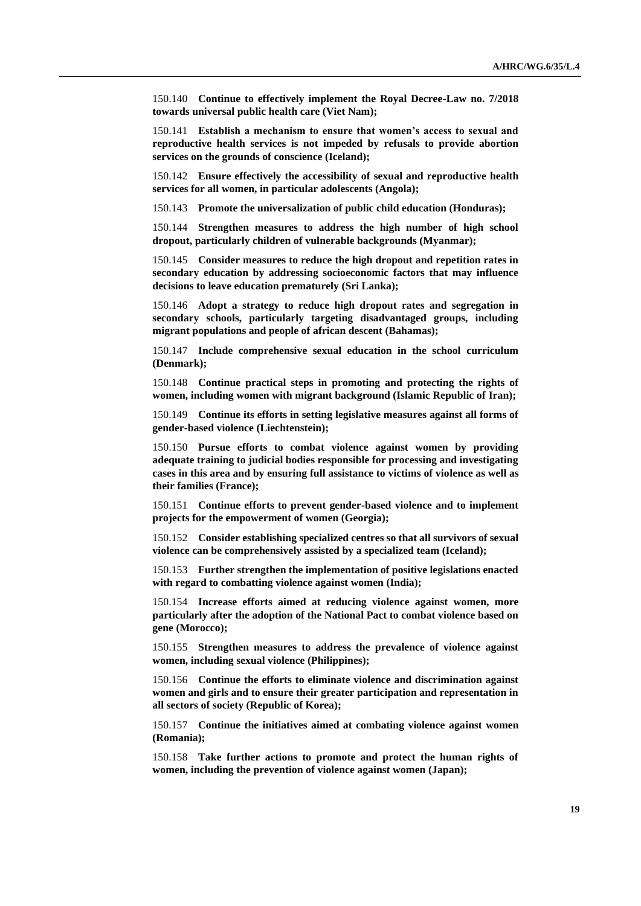150.140 **Continue to effectively implement the Royal Decree-Law no. 7/2018 towards universal public health care (Viet Nam);**

150.141 **Establish a mechanism to ensure that women's access to sexual and reproductive health services is not impeded by refusals to provide abortion services on the grounds of conscience (Iceland);**

150.142 **Ensure effectively the accessibility of sexual and reproductive health services for all women, in particular adolescents (Angola);**

150.143 **Promote the universalization of public child education (Honduras);**

150.144 **Strengthen measures to address the high number of high school dropout, particularly children of vulnerable backgrounds (Myanmar);**

150.145 **Consider measures to reduce the high dropout and repetition rates in secondary education by addressing socioeconomic factors that may influence decisions to leave education prematurely (Sri Lanka);**

150.146 **Adopt a strategy to reduce high dropout rates and segregation in secondary schools, particularly targeting disadvantaged groups, including migrant populations and people of african descent (Bahamas);**

150.147 **Include comprehensive sexual education in the school curriculum (Denmark);**

150.148 **Continue practical steps in promoting and protecting the rights of women, including women with migrant background (Islamic Republic of Iran);**

150.149 **Continue its efforts in setting legislative measures against all forms of gender-based violence (Liechtenstein);**

150.150 **Pursue efforts to combat violence against women by providing adequate training to judicial bodies responsible for processing and investigating cases in this area and by ensuring full assistance to victims of violence as well as their families (France);**

150.151 **Continue efforts to prevent gender-based violence and to implement projects for the empowerment of women (Georgia);**

150.152 **Consider establishing specialized centres so that all survivors of sexual violence can be comprehensively assisted by a specialized team (Iceland);**

150.153 **Further strengthen the implementation of positive legislations enacted with regard to combatting violence against women (India);**

150.154 **Increase efforts aimed at reducing violence against women, more particularly after the adoption of the National Pact to combat violence based on gene (Morocco);**

150.155 **Strengthen measures to address the prevalence of violence against women, including sexual violence (Philippines);**

150.156 **Continue the efforts to eliminate violence and discrimination against women and girls and to ensure their greater participation and representation in all sectors of society (Republic of Korea);**

150.157 **Continue the initiatives aimed at combating violence against women (Romania);**

150.158 **Take further actions to promote and protect the human rights of women, including the prevention of violence against women (Japan);**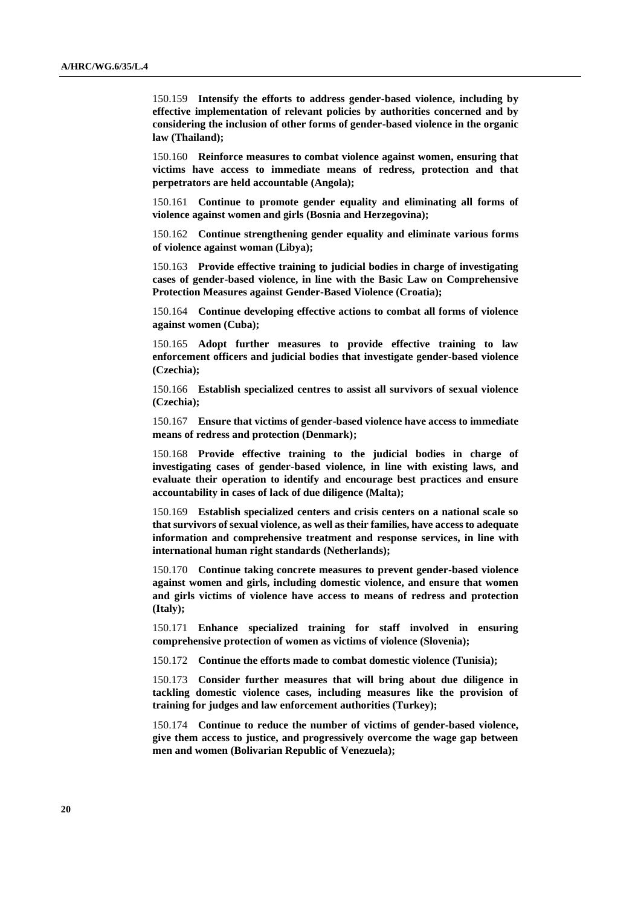150.159 **Intensify the efforts to address gender-based violence, including by effective implementation of relevant policies by authorities concerned and by considering the inclusion of other forms of gender-based violence in the organic law (Thailand);**

150.160 **Reinforce measures to combat violence against women, ensuring that victims have access to immediate means of redress, protection and that perpetrators are held accountable (Angola);**

150.161 **Continue to promote gender equality and eliminating all forms of violence against women and girls (Bosnia and Herzegovina);**

150.162 **Continue strengthening gender equality and eliminate various forms of violence against woman (Libya);**

150.163 **Provide effective training to judicial bodies in charge of investigating cases of gender-based violence, in line with the Basic Law on Comprehensive Protection Measures against Gender-Based Violence (Croatia);**

150.164 **Continue developing effective actions to combat all forms of violence against women (Cuba);**

150.165 **Adopt further measures to provide effective training to law enforcement officers and judicial bodies that investigate gender-based violence (Czechia);**

150.166 **Establish specialized centres to assist all survivors of sexual violence (Czechia);**

150.167 **Ensure that victims of gender-based violence have access to immediate means of redress and protection (Denmark);**

150.168 **Provide effective training to the judicial bodies in charge of investigating cases of gender-based violence, in line with existing laws, and evaluate their operation to identify and encourage best practices and ensure accountability in cases of lack of due diligence (Malta);**

150.169 **Establish specialized centers and crisis centers on a national scale so that survivors of sexual violence, as well as their families, have access to adequate information and comprehensive treatment and response services, in line with international human right standards (Netherlands);**

150.170 **Continue taking concrete measures to prevent gender-based violence against women and girls, including domestic violence, and ensure that women and girls victims of violence have access to means of redress and protection (Italy);**

150.171 **Enhance specialized training for staff involved in ensuring comprehensive protection of women as victims of violence (Slovenia);**

150.172 **Continue the efforts made to combat domestic violence (Tunisia);**

150.173 **Consider further measures that will bring about due diligence in tackling domestic violence cases, including measures like the provision of training for judges and law enforcement authorities (Turkey);**

150.174 **Continue to reduce the number of victims of gender-based violence, give them access to justice, and progressively overcome the wage gap between men and women (Bolivarian Republic of Venezuela);**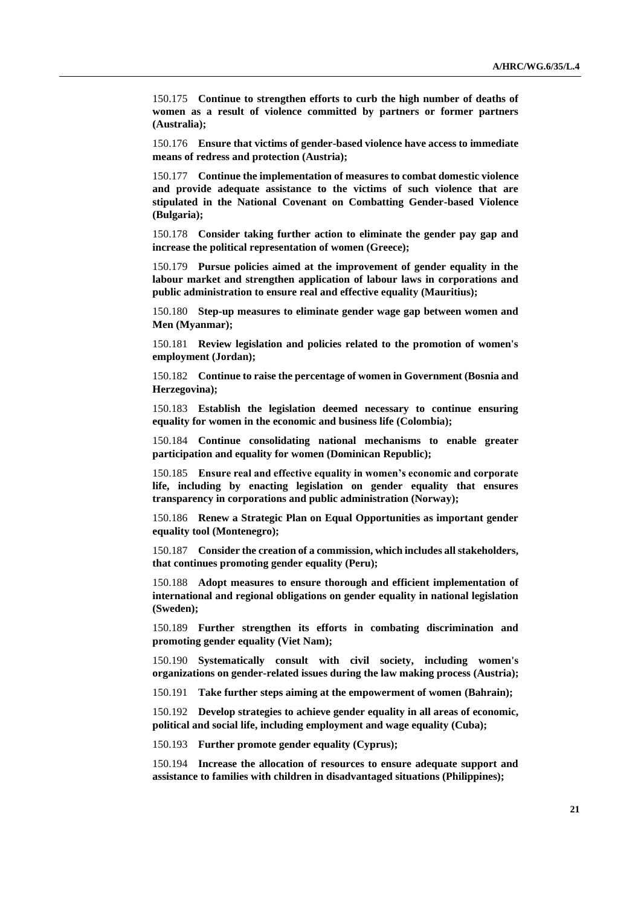150.175 **Continue to strengthen efforts to curb the high number of deaths of women as a result of violence committed by partners or former partners (Australia);**

150.176 **Ensure that victims of gender-based violence have access to immediate means of redress and protection (Austria);**

150.177 **Continue the implementation of measures to combat domestic violence and provide adequate assistance to the victims of such violence that are stipulated in the National Covenant on Combatting Gender-based Violence (Bulgaria);**

150.178 **Consider taking further action to eliminate the gender pay gap and increase the political representation of women (Greece);**

150.179 **Pursue policies aimed at the improvement of gender equality in the labour market and strengthen application of labour laws in corporations and public administration to ensure real and effective equality (Mauritius);**

150.180 **Step-up measures to eliminate gender wage gap between women and Men (Myanmar);**

150.181 **Review legislation and policies related to the promotion of women's employment (Jordan);**

150.182 **Continue to raise the percentage of women in Government (Bosnia and Herzegovina);**

150.183 **Establish the legislation deemed necessary to continue ensuring equality for women in the economic and business life (Colombia);**

150.184 **Continue consolidating national mechanisms to enable greater participation and equality for women (Dominican Republic);**

150.185 **Ensure real and effective equality in women's economic and corporate life, including by enacting legislation on gender equality that ensures transparency in corporations and public administration (Norway);**

150.186 **Renew a Strategic Plan on Equal Opportunities as important gender equality tool (Montenegro);**

150.187 **Consider the creation of a commission, which includes all stakeholders, that continues promoting gender equality (Peru);**

150.188 **Adopt measures to ensure thorough and efficient implementation of international and regional obligations on gender equality in national legislation (Sweden);**

150.189 **Further strengthen its efforts in combating discrimination and promoting gender equality (Viet Nam);**

150.190 **Systematically consult with civil society, including women's organizations on gender-related issues during the law making process (Austria);**

150.191 **Take further steps aiming at the empowerment of women (Bahrain);**

150.192 **Develop strategies to achieve gender equality in all areas of economic, political and social life, including employment and wage equality (Cuba);**

150.193 **Further promote gender equality (Cyprus);**

150.194 **Increase the allocation of resources to ensure adequate support and assistance to families with children in disadvantaged situations (Philippines);**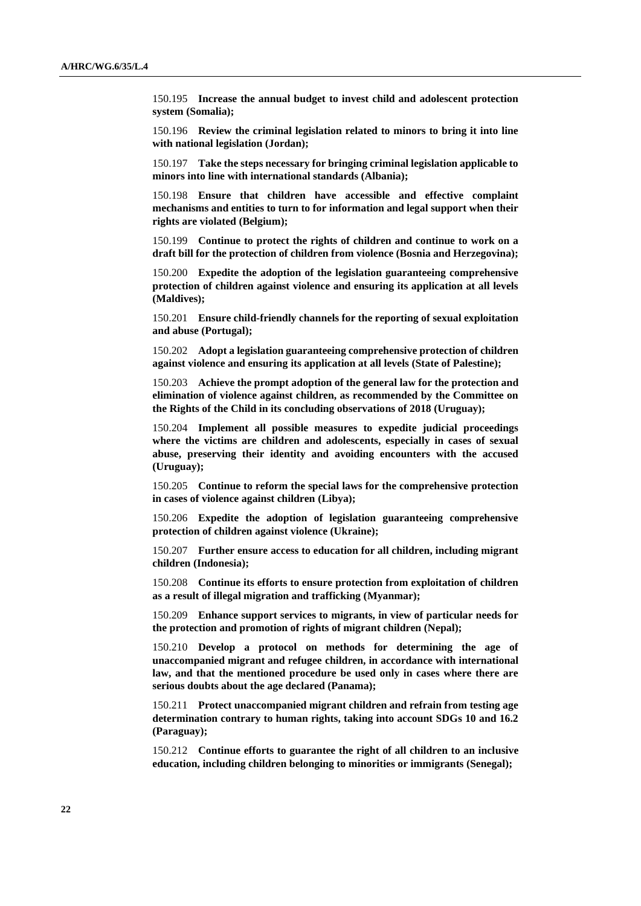150.195 **Increase the annual budget to invest child and adolescent protection system (Somalia);**

150.196 **Review the criminal legislation related to minors to bring it into line with national legislation (Jordan);**

150.197 **Take the steps necessary for bringing criminal legislation applicable to minors into line with international standards (Albania);**

150.198 **Ensure that children have accessible and effective complaint mechanisms and entities to turn to for information and legal support when their rights are violated (Belgium);**

150.199 **Continue to protect the rights of children and continue to work on a draft bill for the protection of children from violence (Bosnia and Herzegovina);**

150.200 **Expedite the adoption of the legislation guaranteeing comprehensive protection of children against violence and ensuring its application at all levels (Maldives);**

150.201 **Ensure child-friendly channels for the reporting of sexual exploitation and abuse (Portugal);**

150.202 **Adopt a legislation guaranteeing comprehensive protection of children against violence and ensuring its application at all levels (State of Palestine);**

150.203 **Achieve the prompt adoption of the general law for the protection and elimination of violence against children, as recommended by the Committee on the Rights of the Child in its concluding observations of 2018 (Uruguay);**

150.204 **Implement all possible measures to expedite judicial proceedings where the victims are children and adolescents, especially in cases of sexual abuse, preserving their identity and avoiding encounters with the accused (Uruguay);**

150.205 **Continue to reform the special laws for the comprehensive protection in cases of violence against children (Libya);**

150.206 **Expedite the adoption of legislation guaranteeing comprehensive protection of children against violence (Ukraine);**

150.207 **Further ensure access to education for all children, including migrant children (Indonesia);**

150.208 **Continue its efforts to ensure protection from exploitation of children as a result of illegal migration and trafficking (Myanmar);**

150.209 **Enhance support services to migrants, in view of particular needs for the protection and promotion of rights of migrant children (Nepal);**

150.210 **Develop a protocol on methods for determining the age of unaccompanied migrant and refugee children, in accordance with international law, and that the mentioned procedure be used only in cases where there are serious doubts about the age declared (Panama);**

150.211 **Protect unaccompanied migrant children and refrain from testing age determination contrary to human rights, taking into account SDGs 10 and 16.2 (Paraguay);**

150.212 **Continue efforts to guarantee the right of all children to an inclusive education, including children belonging to minorities or immigrants (Senegal);**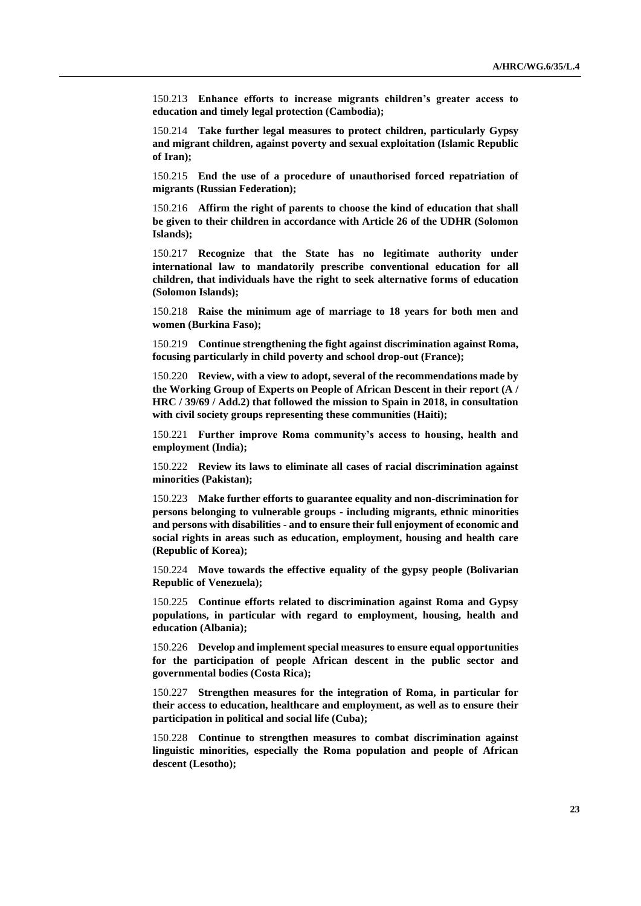150.213 **Enhance efforts to increase migrants children's greater access to education and timely legal protection (Cambodia);**

150.214 **Take further legal measures to protect children, particularly Gypsy and migrant children, against poverty and sexual exploitation (Islamic Republic of Iran);**

150.215 **End the use of a procedure of unauthorised forced repatriation of migrants (Russian Federation);**

150.216 **Affirm the right of parents to choose the kind of education that shall be given to their children in accordance with Article 26 of the UDHR (Solomon Islands);**

150.217 **Recognize that the State has no legitimate authority under international law to mandatorily prescribe conventional education for all children, that individuals have the right to seek alternative forms of education (Solomon Islands);**

150.218 **Raise the minimum age of marriage to 18 years for both men and women (Burkina Faso);**

150.219 **Continue strengthening the fight against discrimination against Roma, focusing particularly in child poverty and school drop-out (France);**

150.220 **Review, with a view to adopt, several of the recommendations made by the Working Group of Experts on People of African Descent in their report (A / HRC / 39/69 / Add.2) that followed the mission to Spain in 2018, in consultation with civil society groups representing these communities (Haiti);**

150.221 **Further improve Roma community's access to housing, health and employment (India);**

150.222 **Review its laws to eliminate all cases of racial discrimination against minorities (Pakistan);**

150.223 **Make further efforts to guarantee equality and non-discrimination for persons belonging to vulnerable groups - including migrants, ethnic minorities and persons with disabilities - and to ensure their full enjoyment of economic and social rights in areas such as education, employment, housing and health care (Republic of Korea);**

150.224 **Move towards the effective equality of the gypsy people (Bolivarian Republic of Venezuela);**

150.225 **Continue efforts related to discrimination against Roma and Gypsy populations, in particular with regard to employment, housing, health and education (Albania);**

150.226 **Develop and implement special measures to ensure equal opportunities for the participation of people African descent in the public sector and governmental bodies (Costa Rica);**

150.227 **Strengthen measures for the integration of Roma, in particular for their access to education, healthcare and employment, as well as to ensure their participation in political and social life (Cuba);**

150.228 **Continue to strengthen measures to combat discrimination against linguistic minorities, especially the Roma population and people of African descent (Lesotho);**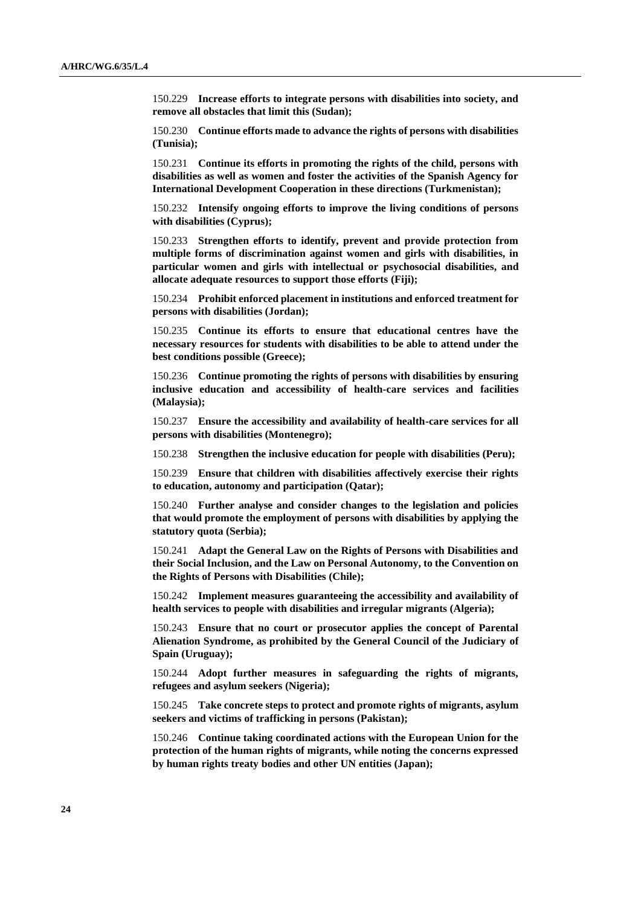150.229 **Increase efforts to integrate persons with disabilities into society, and remove all obstacles that limit this (Sudan);**

150.230 **Continue efforts made to advance the rights of persons with disabilities (Tunisia);**

150.231 **Continue its efforts in promoting the rights of the child, persons with disabilities as well as women and foster the activities of the Spanish Agency for International Development Cooperation in these directions (Turkmenistan);**

150.232 **Intensify ongoing efforts to improve the living conditions of persons with disabilities (Cyprus);**

150.233 **Strengthen efforts to identify, prevent and provide protection from multiple forms of discrimination against women and girls with disabilities, in particular women and girls with intellectual or psychosocial disabilities, and allocate adequate resources to support those efforts (Fiji);**

150.234 **Prohibit enforced placement in institutions and enforced treatment for persons with disabilities (Jordan);**

150.235 **Continue its efforts to ensure that educational centres have the necessary resources for students with disabilities to be able to attend under the best conditions possible (Greece);**

150.236 **Continue promoting the rights of persons with disabilities by ensuring inclusive education and accessibility of health-care services and facilities (Malaysia);**

150.237 **Ensure the accessibility and availability of health-care services for all persons with disabilities (Montenegro);**

150.238 **Strengthen the inclusive education for people with disabilities (Peru);**

150.239 **Ensure that children with disabilities affectively exercise their rights to education, autonomy and participation (Qatar);**

150.240 **Further analyse and consider changes to the legislation and policies that would promote the employment of persons with disabilities by applying the statutory quota (Serbia);**

150.241 **Adapt the General Law on the Rights of Persons with Disabilities and their Social Inclusion, and the Law on Personal Autonomy, to the Convention on the Rights of Persons with Disabilities (Chile);**

150.242 **Implement measures guaranteeing the accessibility and availability of health services to people with disabilities and irregular migrants (Algeria);**

150.243 **Ensure that no court or prosecutor applies the concept of Parental Alienation Syndrome, as prohibited by the General Council of the Judiciary of Spain (Uruguay);**

150.244 **Adopt further measures in safeguarding the rights of migrants, refugees and asylum seekers (Nigeria);**

150.245 **Take concrete steps to protect and promote rights of migrants, asylum seekers and victims of trafficking in persons (Pakistan);**

150.246 **Continue taking coordinated actions with the European Union for the protection of the human rights of migrants, while noting the concerns expressed by human rights treaty bodies and other UN entities (Japan);**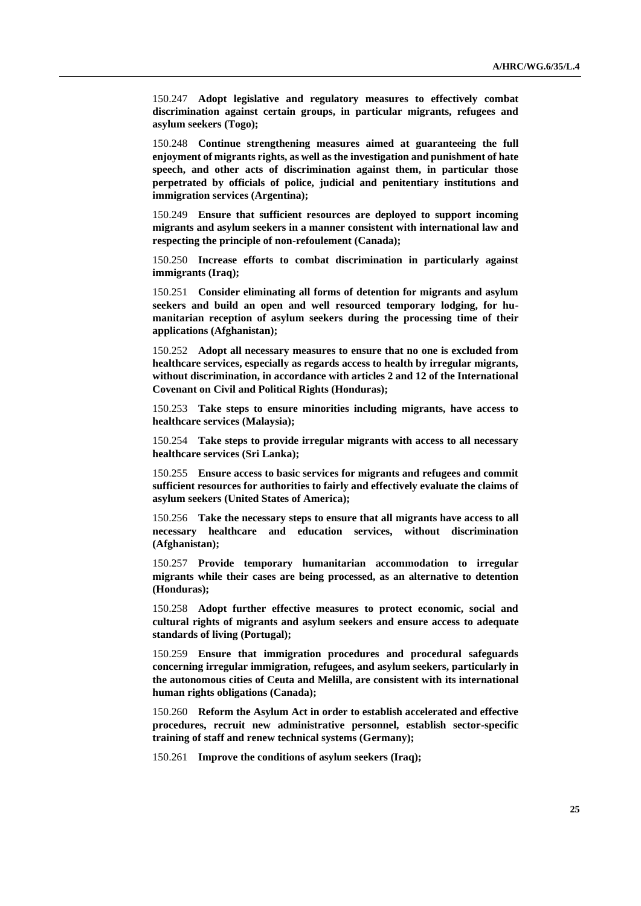150.247 **Adopt legislative and regulatory measures to effectively combat discrimination against certain groups, in particular migrants, refugees and asylum seekers (Togo);**

150.248 **Continue strengthening measures aimed at guaranteeing the full enjoyment of migrants rights, as well as the investigation and punishment of hate speech, and other acts of discrimination against them, in particular those perpetrated by officials of police, judicial and penitentiary institutions and immigration services (Argentina);**

150.249 **Ensure that sufficient resources are deployed to support incoming migrants and asylum seekers in a manner consistent with international law and respecting the principle of non-refoulement (Canada);**

150.250 **Increase efforts to combat discrimination in particularly against immigrants (Iraq);**

150.251 **Consider eliminating all forms of detention for migrants and asylum seekers and build an open and well resourced temporary lodging, for humanitarian reception of asylum seekers during the processing time of their applications (Afghanistan);**

150.252 **Adopt all necessary measures to ensure that no one is excluded from healthcare services, especially as regards access to health by irregular migrants, without discrimination, in accordance with articles 2 and 12 of the International Covenant on Civil and Political Rights (Honduras);**

150.253 **Take steps to ensure minorities including migrants, have access to healthcare services (Malaysia);**

150.254 **Take steps to provide irregular migrants with access to all necessary healthcare services (Sri Lanka);**

150.255 **Ensure access to basic services for migrants and refugees and commit sufficient resources for authorities to fairly and effectively evaluate the claims of asylum seekers (United States of America);**

150.256 **Take the necessary steps to ensure that all migrants have access to all necessary healthcare and education services, without discrimination (Afghanistan);**

150.257 **Provide temporary humanitarian accommodation to irregular migrants while their cases are being processed, as an alternative to detention (Honduras);**

150.258 **Adopt further effective measures to protect economic, social and cultural rights of migrants and asylum seekers and ensure access to adequate standards of living (Portugal);**

150.259 **Ensure that immigration procedures and procedural safeguards concerning irregular immigration, refugees, and asylum seekers, particularly in the autonomous cities of Ceuta and Melilla, are consistent with its international human rights obligations (Canada);**

150.260 **Reform the Asylum Act in order to establish accelerated and effective procedures, recruit new administrative personnel, establish sector-specific training of staff and renew technical systems (Germany);**

150.261 **Improve the conditions of asylum seekers (Iraq);**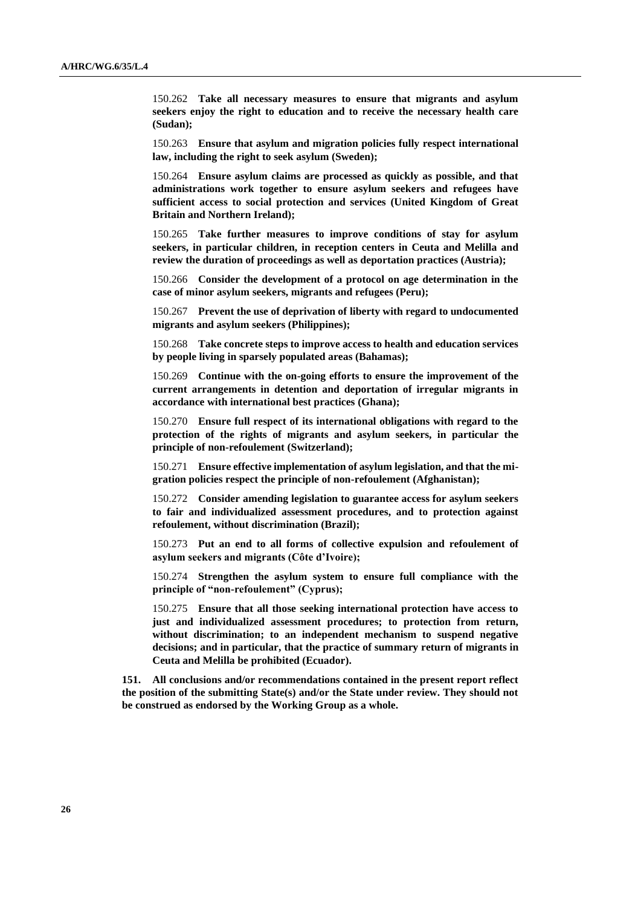150.262 **Take all necessary measures to ensure that migrants and asylum seekers enjoy the right to education and to receive the necessary health care (Sudan);**

150.263 **Ensure that asylum and migration policies fully respect international law, including the right to seek asylum (Sweden);**

150.264 **Ensure asylum claims are processed as quickly as possible, and that administrations work together to ensure asylum seekers and refugees have sufficient access to social protection and services (United Kingdom of Great Britain and Northern Ireland);**

150.265 **Take further measures to improve conditions of stay for asylum seekers, in particular children, in reception centers in Ceuta and Melilla and review the duration of proceedings as well as deportation practices (Austria);**

150.266 **Consider the development of a protocol on age determination in the case of minor asylum seekers, migrants and refugees (Peru);**

150.267 **Prevent the use of deprivation of liberty with regard to undocumented migrants and asylum seekers (Philippines);**

150.268 **Take concrete steps to improve access to health and education services by people living in sparsely populated areas (Bahamas);**

150.269 **Continue with the on-going efforts to ensure the improvement of the current arrangements in detention and deportation of irregular migrants in accordance with international best practices (Ghana);**

150.270 **Ensure full respect of its international obligations with regard to the protection of the rights of migrants and asylum seekers, in particular the principle of non-refoulement (Switzerland);**

150.271 **Ensure effective implementation of asylum legislation, and that the migration policies respect the principle of non-refoulement (Afghanistan);**

150.272 **Consider amending legislation to guarantee access for asylum seekers to fair and individualized assessment procedures, and to protection against refoulement, without discrimination (Brazil);**

150.273 **Put an end to all forms of collective expulsion and refoulement of asylum seekers and migrants (Côte d'Ivoire);**

150.274 **Strengthen the asylum system to ensure full compliance with the principle of "non-refoulement" (Cyprus);**

150.275 **Ensure that all those seeking international protection have access to just and individualized assessment procedures; to protection from return, without discrimination; to an independent mechanism to suspend negative decisions; and in particular, that the practice of summary return of migrants in Ceuta and Melilla be prohibited (Ecuador).**

**151. All conclusions and/or recommendations contained in the present report reflect the position of the submitting State(s) and/or the State under review. They should not be construed as endorsed by the Working Group as a whole.**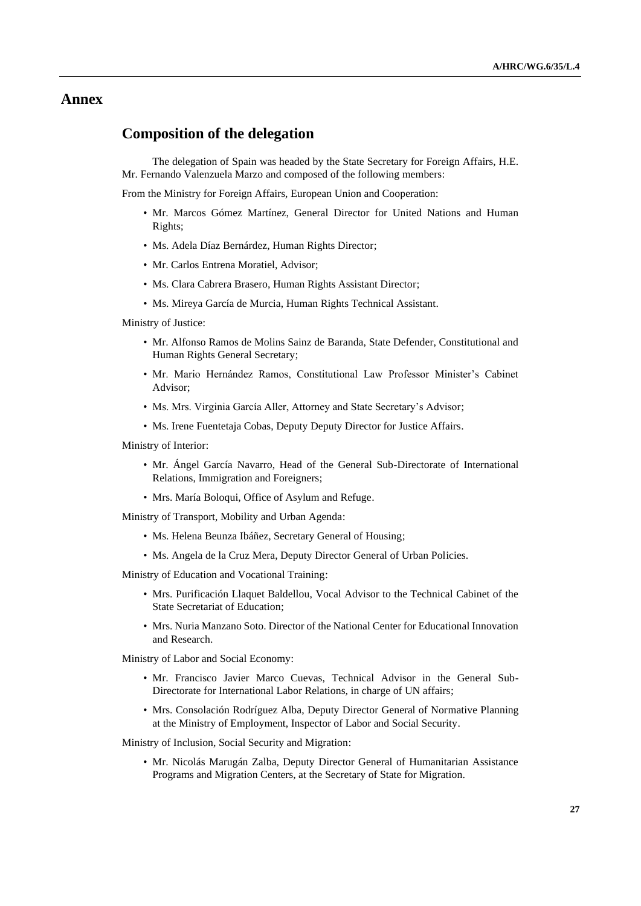### **Annex**

## **Composition of the delegation**

The delegation of Spain was headed by the State Secretary for Foreign Affairs, H.E. Mr. Fernando Valenzuela Marzo and composed of the following members:

From the Ministry for Foreign Affairs, European Union and Cooperation:

- Mr. Marcos Gómez Martínez, General Director for United Nations and Human Rights;
- Ms. Adela Díaz Bernárdez, Human Rights Director;
- Mr. Carlos Entrena Moratiel, Advisor;
- Ms. Clara Cabrera Brasero, Human Rights Assistant Director;
- Ms. Mireya García de Murcia, Human Rights Technical Assistant.

Ministry of Justice:

- Mr. Alfonso Ramos de Molins Sainz de Baranda, State Defender, Constitutional and Human Rights General Secretary;
- Mr. Mario Hernández Ramos, Constitutional Law Professor Minister's Cabinet Advisor;
- Ms. Mrs. Virginia García Aller, Attorney and State Secretary's Advisor;
- Ms. Irene Fuentetaja Cobas, Deputy Deputy Director for Justice Affairs.

Ministry of Interior:

- Mr. Ángel García Navarro, Head of the General Sub-Directorate of International Relations, Immigration and Foreigners;
- Mrs. María Boloqui, Office of Asylum and Refuge.

Ministry of Transport, Mobility and Urban Agenda:

- Ms. Helena Beunza Ibáñez, Secretary General of Housing;
- Ms. Angela de la Cruz Mera, Deputy Director General of Urban Policies.

Ministry of Education and Vocational Training:

- Mrs. Purificación Llaquet Baldellou, Vocal Advisor to the Technical Cabinet of the State Secretariat of Education;
- Mrs. Nuria Manzano Soto. Director of the National Center for Educational Innovation and Research.

Ministry of Labor and Social Economy:

- Mr. Francisco Javier Marco Cuevas, Technical Advisor in the General Sub-Directorate for International Labor Relations, in charge of UN affairs;
- Mrs. Consolación Rodríguez Alba, Deputy Director General of Normative Planning at the Ministry of Employment, Inspector of Labor and Social Security.

Ministry of Inclusion, Social Security and Migration:

• Mr. Nicolás Marugán Zalba, Deputy Director General of Humanitarian Assistance Programs and Migration Centers, at the Secretary of State for Migration.